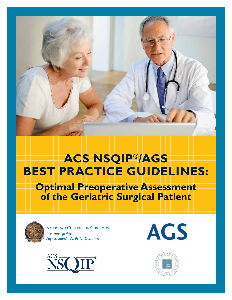

# **ACS NSQIP®/AGS BEST PRACTICE GUIDELINES:**

**Optimal Preoperative Assessment of the Geriatric Surgical Patient**



**AMERICAN COLLEGE OF SURGEONS Inspiring Quality:** 

Highest Standards, Better Outcomes





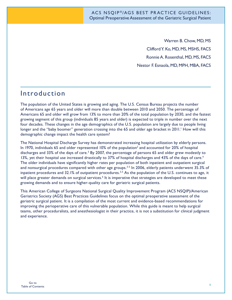Warren B. Chow, MD, MS Clifford Y. Ko, MD, MS, MSHS, FACS Ronnie A. Rosenthal, MD, MS, FACS Nestor F. Esnaola, MD, MPH, MBA, FACS

# Introduction

The population of the United States is growing and aging. The U.S. Census Bureau projects the number of Americans age 65 years and older will more than double between 2010 and 2050. The percentage of Americans 65 and older will grow from 13% to more than 20% of the total population by 2030, and the fastest growing segment of this group (individuals 85 years and older) is expected to triple in number over the next four decades. These changes in the age demographics of the U.S. population are largely due to people living longer and the "baby boomer" generation crossing into the 65 and older age bracket in 2011.<sup>1</sup> How will this demographic change impact the health care system?

The National Hospital Discharge Survey has demonstrated increasing hospital utilization by elderly persons. In 1970, individuals 65 and older represented 10% of the population<sup>2</sup> and accounted for 20% of hospital discharges and 33% of the days of care.<sup>3</sup> By 2007, the percentage of persons 65 and older grew modestly to 13%, yet their hospital use increased drastically to 37% of hospital discharges and 43% of the days of care.<sup>4</sup> The older individuals have significantly higher rates per population of both inpatient and outpatient surgical and nonsurgical procedures compared with other age groups.<sup>3-5</sup> In 2006, elderly patients underwent 35.3% of inpatient procedures and 32.1% of outpatient procedures.<sup>3,5</sup> As the population of the U.S. continues to age, it will place greater demands on surgical services.<sup>6</sup> It is imperative that strategies are developed to meet these growing demands and to ensure higher-quality care for geriatric surgical patients.

This American College of Surgeons National Surgical Quality Improvement Program (ACS NSQIP)/American Geriatrics Society (AGS) Best Practices Guidelines focus on the optimal preoperative assessment of the geriatric surgical patient. It is a compilation of the most current and evidence-based recommendations for improving the perioperative care of this vulnerable population. While this guide is meant to help surgical teams, other proceduralists, and anesthesiologist in their practice, it is not a substitution for clinical judgment and experience.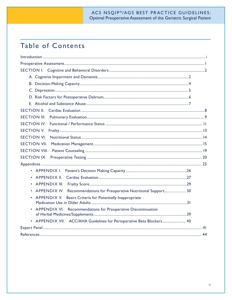# Table of Contents

| SECTION II.                                                                       |  |
|-----------------------------------------------------------------------------------|--|
| <b>SECTION III.</b>                                                               |  |
| SECTION IV.                                                                       |  |
|                                                                                   |  |
| <b>SECTION VI.</b>                                                                |  |
| <b>SECTION VII.</b>                                                               |  |
|                                                                                   |  |
|                                                                                   |  |
|                                                                                   |  |
|                                                                                   |  |
|                                                                                   |  |
| $\bullet$                                                                         |  |
| APPENDIX IV. Recommendations for Preoperative Nutritional Support 30<br>$\bullet$ |  |
| APPENDIX V.<br>Beers Criteria for Potentially Inappropriate<br>$\bullet$          |  |
|                                                                                   |  |
| APPENDIX VI. Recommendations for Preoperative Discontinuation                     |  |
| • APPENDIX VII. ACC/AHA Guidelines for Perioperative Beta Blockers 40             |  |
|                                                                                   |  |
|                                                                                   |  |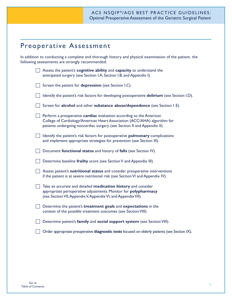# Preoperative Assessment

In addition to conducting a complete and thorough history and physical examination of the patient, the following assessments are strongly recommended:

| Assess the patient's cognitive ability and capacity to understand the<br>anticipated surgery (see Section I.A, Section I.B, and Appendix I).                                                                                |
|-----------------------------------------------------------------------------------------------------------------------------------------------------------------------------------------------------------------------------|
| Screen the patient for <b>depression</b> (see Section I.C).                                                                                                                                                                 |
| Identify the patient's risk factors for developing postoperative delirium (see Section I.D).                                                                                                                                |
| Screen for alcohol and other substance abuse/dependence (see Section I.E).                                                                                                                                                  |
| Perform a preoperative cardiac evaluation according to the American<br>College of Cardiology/American Heart Association (ACC/AHA) algorithm for<br>patients undergoing noncardiac surgery (see Section II and Appendix II). |
| Identify the patient's risk factors for postoperative pulmonary complications<br>and implement appropriate strategies for prevention (see Section III).                                                                     |
| Document functional status and history of falls (see Section IV).                                                                                                                                                           |
| Determine baseline frailty score (see Section V and Appendix III).                                                                                                                                                          |
| Assess patient's nutritional status and consider preoperative interventions<br>if the patient is at severe nutritional risk (see Section VI and Appendix IV).                                                               |
| Take an accurate and detailed medication history and consider<br>appropriate perioperative adjustments. Monitor for polypharmacy<br>(see Section VII, Appendix V, Appendix VI, and Appendix VII).                           |
| Determine the patient's treatment goals and expectations in the<br>context of the possible treatment outcomes (see Section VIII).                                                                                           |
| Determine patient's family and social support system (see Section VIII).                                                                                                                                                    |
| Order appropriate preoperative diagnostic tests focused on elderly patients (see Section IX).                                                                                                                               |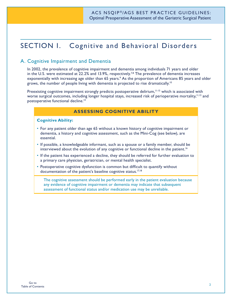# SECTION I. Cognitive and Behavioral Disorders

# A. Cognitive Impairment and Dementia

In 2002, the prevalence of cognitive impairment and dementia among individuals 71 years and older in the U.S. were estimated at 22.2% and 13.9%, respectively.<sup>7,8</sup> The prevalence of dementia increases exponentially with increasing age older than 65 years.<sup>9</sup> As the proportion of Americans 85 years and older grows, the number of people living with dementia is projected to rise dramatically.<sup>10</sup>

Preexisting cognitive impairment strongly predicts postoperative delirium,<sup>11-15</sup> which is associated with worse surgical outcomes, including longer hospital stays, increased risk of perioperative mortality,<sup>11,13</sup> and postoperative functional decline.14

### **ASSESSING COGNITIVE ABILITY**

#### **Cognitive Ability:**

- For any patient older than age 65 without a known history of cognitive impairment or dementia, a history and cognitive assessment, such as the Mini-Cog (see below), are essential.
- If possible, a knowledgeable informant, such as a spouse or a family member, should be interviewed about the evolution of any cognitive or functional decline in the patient.<sup>16</sup>
- If the patient has experienced a decline, they should be referred for further evaluation to a primary care physician, geriatrician, or mental health specialist.
- Postoperative cognitive dysfunction is common but difficult to quantify without documentation of the patient's baseline cognitive status.<sup>17,18</sup>

The cognitive assessment should be performed early in the patient evaluation because any evidence of cognitive impairment or dementia may indicate that subsequent assessment of functional status and/or medication use may be unreliable.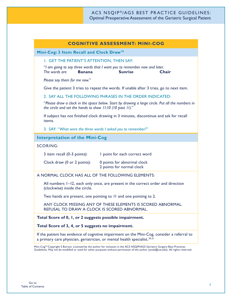| Mini-Cog: 3 Item Recall and Clock Draw <sup>19</sup>                                                               |                                                                                       |                                                                                                  |
|--------------------------------------------------------------------------------------------------------------------|---------------------------------------------------------------------------------------|--------------------------------------------------------------------------------------------------|
| I. GET THE PATIENT'S ATTENTION, THEN SAY:                                                                          |                                                                                       |                                                                                                  |
| "I am going to say three words that I want you to remember now and later.<br>The words are<br><b>Banana</b>        | <b>Sunrise</b>                                                                        | Chair                                                                                            |
| Please say them for me now."                                                                                       |                                                                                       |                                                                                                  |
| Give the patient 3 tries to repeat the words. If unable after 3 tries, go to next item.                            |                                                                                       |                                                                                                  |
| 2. SAY ALL THE FOLLOWING PHRASES IN THE ORDER INDICATED:                                                           |                                                                                       |                                                                                                  |
| the circle and set the hands to show 11:10 (10 past 11)."                                                          |                                                                                       | "Please draw a clock in the space below. Start by drawing a large circle. Put all the numbers in |
| If subject has not finished clock drawing in 3 minutes, discontinue and ask for recall<br>items.                   |                                                                                       |                                                                                                  |
| 3. SAY: "What were the three words I asked you to remember?"                                                       |                                                                                       |                                                                                                  |
| <b>Interpretation of the Mini-Cog</b>                                                                              |                                                                                       |                                                                                                  |
| <b>SCORING:</b>                                                                                                    |                                                                                       |                                                                                                  |
| 3 item recall (0-3 points):                                                                                        | I point for each correct word                                                         |                                                                                                  |
| Clock draw (0 or 2 points):                                                                                        | 0 points for abnormal clock<br>2 points for normal clock                              |                                                                                                  |
| A NORMAL CLOCK HAS ALL OF THE FOLLOWING ELEMENTS:                                                                  |                                                                                       |                                                                                                  |
| All numbers 1-12, each only once, are present in the correct order and direction<br>(clockwise) inside the circle. |                                                                                       |                                                                                                  |
| Two hands are present, one pointing to II and one pointing to 2.                                                   |                                                                                       |                                                                                                  |
| ANY CLOCK MISSING ANY OF THESE ELEMENTS IS SCORED ABNORMAL.<br>REFUSAL TO DRAW A CLOCK IS SCORED ABNORMAL.         |                                                                                       |                                                                                                  |
| Total Score of 0, 1, or 2 suggests possible impairment.<br>Total Score of 3, 4, or 5 suggests no impairment.       |                                                                                       |                                                                                                  |
| If the patient has evidence of cognitive impairment on the Mini-Cog, consider a referral to                        | a primary care physician, geriatrician, or mental health specialist. <sup>20,21</sup> |                                                                                                  |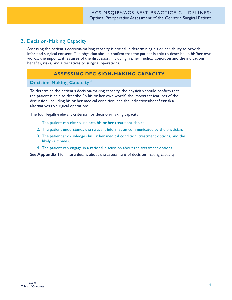# B. Decision-Making Capacity

Assessing the patient's decision-making capacity is critical in determining his or her ability to provide informed surgical consent. The physician should confirm that the patient is able to describe, in his/her own words, the important features of the discussion, including his/her medical condition and the indications, benefits, risks, and alternatives to surgical operations.

## **ASSESSING DECISION-MAKING CAPACITY**

### **Decision-Making Capacity22**

To determine the patient's decision-making capacity, the physician should confirm that the patient is able to describe (in his or her own words) the important features of the discussion, including his or her medical condition, and the indications/benefits/risks/ alternatives to surgical operations.

The four legally-relevant criterion for decision-making capacity:

- 1. The patient can clearly indicate his or her treatment choice.
- 2. The patient understands the relevant information communicated by the physician.
- 3. The patient acknowledges his or her medical condition, treatment options, and the likely outcomes.
- 4. The patient can engage in a rational discussion about the treatment options.

See **Appendix I** for more details about the assessment of decision-making capacity.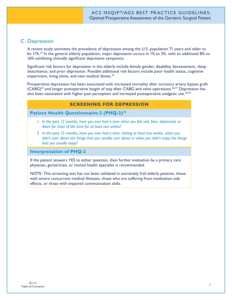# C. Depression

A recent study estimates the prevalence of depression among the U.S. population 71 years and older to be 11%.23 In the general elderly population, major depression occurs in 1% to 3%, with an additional 8% to 16% exhibiting clinically significant depressive symptoms.

Significant risk factors for depression in the elderly include female gender, disability, bereavement, sleep disturbance, and prior depression. Possible additional risk factors include poor health status, cognitive impairment, living alone, and new medical illness. $24$ 

Preoperative depression has been associated with increased mortality after coronary artery bypass graft  $(CABG)^{25}$  and longer postoperative length of stay after CABG and valve operations.<sup>26,27</sup> Depression has also been associated with higher pain perception and increased postoperative analgesic use.<sup>28,29</sup>

### **SCREENING FOR DEPRESSION**

**Patient Health Questionnaire-2 (PHQ-2)30**

- 1. *In the past 12 months, have you ever had a time when you felt sad, blue, depressed, or down for most of the time for at least two weeks?*
- 2. *In the past 12 months, have you ever had a time, lasting at least two weeks, when you didn't care about the things that you usually care about or when you didn't enjoy the things that you usually enjoy?*

**Interpretation of PHQ-2**

If the patient answers YES to either question, then further evaluation by a primary care physician, geriatrician, or mental health specialist is recommended.

NOTE: This screening test has not been validated in extremely frail elderly patients, those with severe concurrent medical illnesses, those who are suffering from medication side effects, or those with impaired communication skills.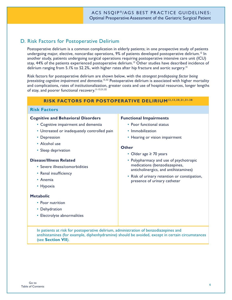# D. Risk Factors for Postoperative Delirium

Postoperative delirium is a common complication in elderly patients; in one prospective study of patients undergoing major, elective, noncardiac operations, 9% of patients developed postoperative delirium.12 In another study, patients undergoing surgical operations requiring postoperative intensive care unit (ICU) stay, 44% of the patients experienced postoperative delirium.13 Other studies have described incidence of delirium ranging from  $5.1\%$  to  $52.2\%$ , with higher rates after hip fracture and aortic surgery.<sup>31</sup>

Risk factors for postoperative delirium are shown below, with the *strongest predisposing factor being preexisting cognitive impairment and dementia*. 13,32 Postoperative delirium is associated with higher mortality and complications, rates of institutionalization, greater costs and use of hospital resources, longer lengths of stay, and poorer functional recovery.<sup>11-13,31,32</sup>

# **RISK FACTORS FOR POSTOPERATIVE DELIRIUM12,13,20,21,31-38**

### **Risk Factors**

#### **Cognitive and Behavioral Disorders**

- Cognitive impairment and dementia
- Untreated or inadequately controlled pain
- Depression
- Alcohol use
- Sleep deprivation

#### **Disease/Illness Related**

- Severe illness/comorbidities
- Renal insufficiency
- Anemia
- Hypoxia

#### **Metabolic**

- Poor nutrition
- Dehydration
- Electrolyte abnormalities

#### **Functional Impairments**

- Poor functional status
- Immobilization
- Hearing or vision impairment

#### **Other**

- Older age  $\geq$  70 years
- Polypharmacy and use of psychotropic medications (benzodiazepines, anticholinergics, and antihistamines)
- Risk of urinary retention or constipation, presence of urinary catheter

In patients at risk for postoperative delirium, administration of benzodiazepines and antihistamines (for example, diphenhydramine) should be avoided, except in certain circumstances (see **Section VII**).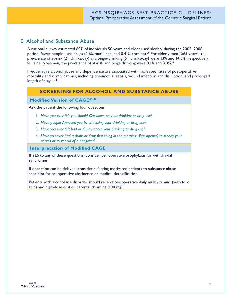# E. Alcohol and Substance Abuse

A national survey estimated 60% of individuals 50 years and older used alcohol during the 2005–2006 period; fewer people used drugs (2.6% marijuana, and 0.41% cocaine).<sup>39</sup> For elderly men ( $\geq$ 65 years), the prevalence of at-risk (2+ drinks/day) and binge-drinking (5+ drinks/day) were 13% and 14.5%, respectively; for elderly women, the prevalence of at-risk and binge drinking were 8.1% and 3.3%.<sup>40</sup>

Preoperative alcohol abuse and dependence are associated with increased rates of postoperative mortality and complications, including pneumonia, sepsis, wound infection and disruption, and prolonged length of stay.<sup>41,42</sup>

### **SCREENING FOR ALCOHOL AND SUBSTANCE ABUSE**

### **Modified Version of CAGE43-46**

Ask the patient the following four questions:

- 1. *Have you ever felt you should Cut down on your drinking or drug use?*
- 2. *Have people Annoyed you by criticizing your drinking or drug use?*
- 3. *Have you ever felt bad or Guilty about your drinking or drug use?*
- 4. Have you ever had a drink or drug first thing in the morning (Eye-opener) to steady your *nerves or to get rid of a hangover?*

### **Interpretation of Modified CAGE**

If YES to any of these questions, consider perioperative prophylaxis for withdrawal syndromes.

If operation can be delayed, consider referring motivated patients to substance abuse specialist for preoperative abstinence or medical detoxification.

Patients with alcohol use disorder should receive perioperative daily multivitamins (with folic acid) and high-dose oral or parental thiamine (100 mg).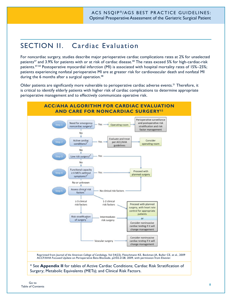# SECTION II. Cardiac Evaluation

For noncardiac surgery, studies describe major perioperative cardiac complications rates at 2% for unselected patients<sup>47</sup> and 3.9% for patients with or at risk of cardiac disease.<sup>48</sup> The rates exceed 5% for high-cardiac-risk patients.47-50 Postoperative myocardial infarction (MI) is associated with hospital mortality rates of 15%–25%; patients experiencing nonfatal perioperative MI are at greater risk for cardiovascular death and nonfatal MI during the 6 months after a surgical operation.<sup>48</sup>

Older patients are significantly more vulnerable to perioperative cardiac adverse events.<sup>51</sup> Therefore, it is critical to identify elderly patients with higher risk of cardiac complications to determine appropriate perioperative management and to effectively communicate operative risk.

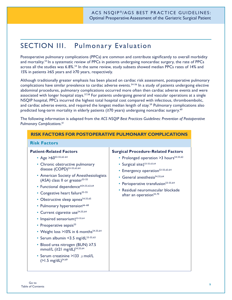# SECTION III. Pulmonary Evaluation

Postoperative pulmonary complications (PPCs) are common and contribute significantly to overall morbidity and mortality.<sup>53</sup> In a systematic review of PPCs in patients undergoing noncardiac surgery, the rate of PPCs across all the studies was 6.8%.<sup>54</sup> In the same review, study subsets showed median PPCs rates of 14% and 15% in patients  $\geq 65$  years and  $\geq 70$  years, respectively.

Although traditionally greater emphasis has been placed on cardiac risk assessment, postoperative pulmonary complications have similar prevalence to cardiac adverse events.<sup>54-56</sup> In a study of patients undergoing elective abdominal procedures, pulmonary complications occurred more often then cardiac adverse events and were associated with longer hospital stays.<sup>57,58</sup> For patients undergoing general and vascular operations at a single NSQIP hospital, PPCs incurred the highest total hospital cost compared with infectious, thromboembolic, and cardiac adverse events, and required the longest median length of stay.<sup>59</sup> Pulmonary complications also predicted long-term mortality in elderly patients (≥70 years) undergoing noncardiac surgery. $^{\rm 60}$ 

The following information is adapted from the *ACS NSQIP Best Practices Guidelines: Prevention of Postoperative Pulmonary Complications*. 61

**RISK FACTORS FOR POSTOPERATIVE PULLMONARY COMPLICATIONS** 

| <b>Risk Factors</b><br><b>Patient-Related Factors</b><br>• Age > $60^{53-55,62-64}$<br>• Chronic obstructive pulmonary<br>disease (COPD) <sup>53-55,63,64</sup><br>• American Society of Anesthesiologists<br>(ASA) class II or greater <sup>53-55</sup><br>• Functional dependence*54,55,63,64<br>• Congestive heart failure <sup>53-55</sup> | <b>Surgical Procedure-Related Factors</b><br>• Prolonged operation >3 hours <sup>54,55,62</sup><br>• Surgical site#53-55,63,64<br>• Emergency operation <sup>53-55,63,64</sup><br>• General anesthesia <sup>54,55,64</sup><br>• Perioperative transfusion <sup>53-55,64</sup><br>• Residual neuromuscular blockade<br>after an operation <sup>55,70</sup> |
|------------------------------------------------------------------------------------------------------------------------------------------------------------------------------------------------------------------------------------------------------------------------------------------------------------------------------------------------|-----------------------------------------------------------------------------------------------------------------------------------------------------------------------------------------------------------------------------------------------------------------------------------------------------------------------------------------------------------|
| • Obstructive sleep apnea <sup>54,55,65</sup><br>• Pulmonary hypertension <sup>66-68</sup><br>• Current cigarette use <sup>54,55,64</sup><br>• Impaired sensorium <sup>+53-55,64</sup><br>• Preoperative sepsis <sup>53</sup><br>• Weight loss >10% in 6 months <sup>54,55,64</sup>                                                            |                                                                                                                                                                                                                                                                                                                                                           |
| • Serum albumin < $3.5$ mg/dL $^{53-55,63}$<br>• Blood urea nitrogen (BUN) $\geq 7.5$<br>mmol/L (≥21 mg/dL) <sup>54,55,64</sup><br>• Serum creatinine >133 $\mu$ mol/L<br>$(>1.5 \text{ mg/dL})^{54,69}$                                                                                                                                       |                                                                                                                                                                                                                                                                                                                                                           |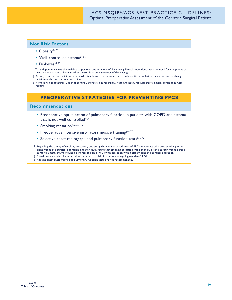### **Not Risk Factors**

- Obesity $54,55$
- Well-controlled asthma<sup>54,55</sup>
- $\cdot$  Diabetes<sup>54,55</sup>
- \* Total dependence was the inability to perform any activities of daily living. Partial dependence was the need for equipment or devices and assistance from another person for some activities of daily living.
- † Acutely confused or delirious patient who is able to respond to verbal or mild tactile stimulation, or mental status changes/ delirium in the context of current illness.
- ‡ Highest risk procedures: upper abdominal, thoracic, neurosurgical, head and neck, vascular (for example, aortic aneurysm repair).

### **PREOPERATIVE STRATEGIES FOR PREVENTING PPCS**

#### **Recommendations**

- Preoperative optimization of pulmonary function in patients with COPD and asthma that is not well controlled $71,72$
- Smoking cessation\*68,73-76
- Preoperative intensive inspiratory muscle training<sup>+68,77</sup>
- Selective chest radiograph and pulmonary function tests $#55,72$

\* Regarding the timing of smoking cessation, one study showed increased rates of PPCs in patients who stop smoking within eight weeks of a surgical operation; another study found that smoking cessation was beneficial as late as four weeks before surgery; a meta-analysis found no increased risk in PPCs with cessation within eight weeks of a surgical operation.

- † Based on one single-blinded randomized control trial of patients undergoing elective CABG.
- ‡ Routine chest radiographs and pulmonary function tests are not recommended.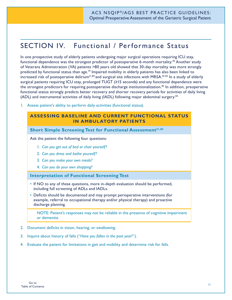# SECTION IV. Functional / Performance Status

In one prospective study of elderly patients undergoing major surgical operations requiring ICU stay, functional dependence was the strongest predictor of postoperative 6-month mortality.<sup>78</sup> Another study of Veterans Administration (VA) patients >80 years old showed that 30-day mortality was more strongly predicted by functional status than age.79 Impaired mobility in elderly patients has also been linked to increased risk of postoperative delirium<sup>31,80</sup> and surgical site infections with MRSA.<sup>81,82</sup> In a study of elderly surgical patients requiring ICU stay, prolonged  $TUGT$  ( $\geq$ 15 seconds) and any functional dependence were the strongest predictors for requiring postoperative discharge institutionalization.<sup>83</sup> In addition, preoperative functional status strongly predicts better recovery and shorter recovery periods for activities of daily living (ADL) and instrumental activities of daily living (IADL) following major abdominal surgery.84

1. Assess patient's ability to perform daily activities (functional status).

### **ASSESSING BASELINE AND CURRENT FUNCTIONAL STATUS IN AMBULATORY PATIENTS**

**Short Simple Screening Test for Functional Assessment21,85** 

Ask the patient the following four questions:

- 1. *Can you get out of bed or chair yourself?*
- 2. *Can you dress and bathe yourself?*
- 3. *Can you make your own meals?*
- 4. *Can you do your own shopping?*

### **Interpretation of Functional Screening Test**

- If NO to any of these questions, more in-depth evaluation should be performed, including full screening of ADLs and IADLs.
- Deficits should be documented and may prompt perioperative interventions (for example, referral to occupational therapy and/or physical therapy) and proactive discharge planning.

NOTE: Patient's responses may not be reliable in the presence of cognitive impairment or dementia.

- 2. Document deficits in vision, hearing, or swallowing.
- 3. Inquire about history of falls ("*Have you fallen in the past year*?").
- 4. Evaluate the patient for limitations in gait and mobility and determine risk for falls.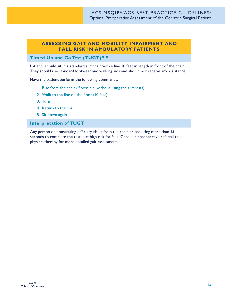### **ASSESSING GAIT AND MOBILITY IMPAIRMENT AND FALL RISK IN AMBULATORY PATIENTS**

### **Timed Up and Go Test (TUGT)86-88**

Patients should sit in a standard armchair with a line 10 feet in length in front of the chair. They should use standard footwear and walking aids and should not receive any assistance.

Have the patient perform the following commands:

- 1. Rise from the chair (if possible, without using the armrests)
- 2. Walk to the line on the floor (10 feet)
- 3. Turn
- 4. Return to the chair
- 5. Sit down again

#### **Interpretation of TUGT**

Any person demonstrating difficulty rising from the chair or requiring more than 15 seconds to complete the test is at high risk for falls. Consider preoperative referral to physical therapy for more detailed gait assessment.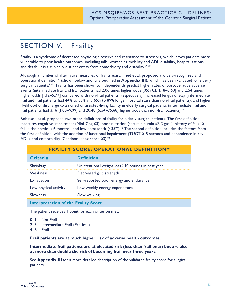# SECTION V. Frailty

Frailty is a syndrome of decreased physiologic reserve and resistance to stressors, which leaves patients more vulnerable to poor health outcomes, including falls, worsening mobility and ADL disability, hospitalizations, and death. It is a clinically distinct entity from comorbidity and disability.<sup>89,90</sup>

Although a number of alternative measures of frailty exist, Fried et al. proposed a widely-recognized and operational definition<sup>91</sup> (shown below and fully outlined in **Appendix III**), which has been validated for elderly surgical patients.<sup>89,92</sup> Frailty has been shown to independently predict higher rates of postoperative adverse events (intermediate frail and frail patients had 2.06 times higher odds [95% CI, 1.18–3.60] and 2.54 times higher odds [1.12–5.77] compared with non-frail patients, respectively), increased length of stay (intermediate frail and frail patients had 44% to 53% and 65% to 89% longer hospital stays than non-frail patients), and higher likelihood of discharge to a skilled or assisted-living facility in elderly surgical patients (intermediate frail and frail patients had 3.16  $[1.00-9.99]$  and 20.48  $[5.54-75.68]$  higher odds than non-frail patients).<sup>92</sup>

Robinson et al. proposed two other definitions of frailty for elderly surgical patients. The first definition measures cognitive impairment (Mini-Cog ≤3), poor nutrition (serum albumin ≤3.3 g/dL), history of falls (≥1  $\,$ fall in the previous 6 months), and low hematocrit (<35%). $^{78}$  The second definition includes the factors from the first definition, with the addition of functional impairment (TUGT  $\geq$ 15 seconds and dependence in any ADL), and comorbidity (Charlson index score  $\geq$ 3). $^{83}$ 

| <b>FRAILTY SCORE: OPERATIONAL DEFINITION89</b>                                                                                                           |                                                   |  |
|----------------------------------------------------------------------------------------------------------------------------------------------------------|---------------------------------------------------|--|
| <b>Criteria</b>                                                                                                                                          | <b>Definition</b>                                 |  |
| Shrinkage                                                                                                                                                | Unintentional weight loss ≥10 pounds in past year |  |
| <b>Weakness</b>                                                                                                                                          | Decreased grip strength                           |  |
| Exhaustion                                                                                                                                               | Self-reported poor energy and endurance           |  |
| Low physical activity                                                                                                                                    | Low weekly energy expenditure                     |  |
| Slowness                                                                                                                                                 | Slow walking                                      |  |
| <b>Interpretation of the Frailty Score</b>                                                                                                               |                                                   |  |
| The patient receives I point for each criterion met.                                                                                                     |                                                   |  |
| $0-1 = Not$ Frail<br>$2-3$ = Intermediate Frail (Pre-frail)<br>$4-5$ = Frail                                                                             |                                                   |  |
| Frail patients are at much higher risk of adverse health outcomes.                                                                                       |                                                   |  |
| Intermediate frail patients are at elevated risk (less than frail ones) but are also<br>at more than double the risk of becoming frail over three years. |                                                   |  |
| See Appendix III for a more detailed description of the validated frailty score for surgical<br>patients.                                                |                                                   |  |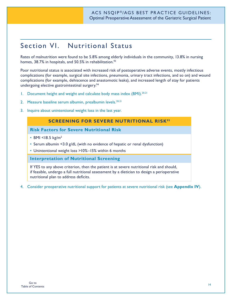# Section VI. Nutritional Status

Rates of malnutrition were found to be 5.8% among elderly individuals in the community, 13.8% in nursing homes, 38.7% in hospitals, and 50.5% in rehabilitation.<sup>93</sup>

Poor nutritional status is associated with increased risk of postoperative adverse events, mostly infectious complications (for example, surgical site infections, pneumonia, urinary tract infections, and so on) and wound complications (for example, dehiscence and anastomotic leaks), and increased length of stay for patients undergoing elective gastrointestinal surgery.<sup>94</sup>

- 1. Document height and weight and calculate body mass index (BMI).<sup>20,21</sup>
- 2. Measure baseline serum albumin, prealbumin levels.<sup>20,21</sup>
- 3. Inquire about unintentional weight loss in the last year.

### **SCREENING FOR SEVERE NUTRITIONAL RISK<sup>95</sup>**

**Risk Factors for Severe Nutritional Risk**

- $\cdot$  BMI <18.5 kg/m<sup>2</sup>
- Serum albumin <3.0 g/dL (with no evidence of hepatic or renal dysfunction)
- Unintentional weight loss >10%–15% within 6 months

**Interpretation of Nutritional Screening**

If YES to any above criterion, then the patient is at severe nutritional risk and should, if feasible, undergo a full nutritional assessment by a dietician to design a perioperative nutritional plan to address deficits.

4. Consider preoperative nutritional support for patients at severe nutritional risk (see **Appendix IV**).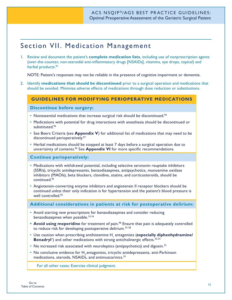# Section VII. Medication Management

1. Review and document the patient's **complete medication lists**, including use of nonprescription agents (over-the-counter, non-steroidal anti-inflammatory drugs [NSAIDs], vitamins, eye drops, topical) and herbal products.<sup>96</sup>

NOTE: Patient's responses may not be reliable in the presence of cognitive impairment or dementia.

2. Identify **medications that should be discontinued** prior to a surgical operation and medications that should be avoided. Minimize adverse effects of medications through dose reduction or substitutions.

### **GUIDELINES FOR MODIFYING PERIOPERATIVE MEDICATIONS**

#### **Discontinue before surgery:**

- Nonessential medications that increase surgical risk should be discontinued.<sup>96</sup>
- Medications with potential for drug interactions with anesthesia should be discontinued or substituted.<sup>96</sup>
- See Beers Criteria (see **Appendix V**) for additional list of medications that may need to be discontinued perioperatively.<sup>97</sup>
- Herbal medications should be stopped at least 7 days before a surgical operation due to uncertainty of contents.<sup>96</sup> See **Appendix VI** for more specific recommendations.

### **Continue perioperatively:**

- Medications with withdrawal potential, including selective serotonin reuptake inhibitors (SSRIs), tricyclic antidepressants, benzodiazepines, antipsychotics, monoamine oxidase inhibitors (MAOIs), beta blockers, clonidine, statins, and corticosteroids, should be continued.96
- Angiotensin-converting enzyme inhibitors and angiotensin II receptor blockers should be continued *unless* their only indication is for hypertension and the patient's blood pressure is well controlled.96

### **Additional considerations in patients at risk for postoperative delirium:**

- Avoid starting new prescriptions for benzodiazepines and consider reducing benzodiazepines when possible.<sup>33,34</sup>
- **Avoid using meperidine** for treatment of pain.<sup>98</sup> Ensure that pain is adequately controlled to reduce risk for developing postoperative delirium.<sup>35-38</sup>
- Use caution when prescribing antihistamine H<sub>1</sub> antagonists (**especially diphenhydramine/ Benadryl**<sup>®</sup>) and other medications with strong anticholinergic effects.<sup>33,34</sup>
- No increased risk associated with neuroleptics (antipsychotics) and digoxin.<sup>33</sup>
- No conclusive evidence for H<sub>2</sub> antagonists, tricyclic antidepressants, anti-Parkinson medications, steroids, NSAIDs, and antimuscarinics.<sup>33</sup>

For all other cases: Exercise clinical judgment.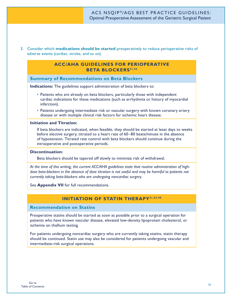3. Consider which **medications should be started** preoperatively to reduce perioperative risks of adverse events (cardiac, stroke, and so on).

### **ACC/AHA GUIDELINES FOR PERIOPERATIVE BETA BLOCKERS21,52**

### **Summary of Recommendations on Beta Blockers**

**Indications:** The guidelines support administration of beta blockers to:

- Patients who are already on beta blockers, particularly those with independent cardiac indications for these medications (such as arrhythmia or history of myocardial infarction).
- Patients undergoing intermediate risk or vascular surgery with known coronary artery disease or with multiple clinical risk factors for ischemic heart disease.

### **Initiation and Titration:**

If beta blockers are indicated, when feasible, they should be started at least days to weeks before elective surgery, titrated to a heart rate of 60–80 beats/minute in the absence of hypotension. Titrated rate control with beta blockers should continue during the intraoperative and postoperative periods.

#### **Discontinuation:**

Beta blockers should be tapered off slowly to minimize risk of withdrawal.

*At the time of this writing, the current ACC/AHA guidelines state that routine administration of highdose beta-blockers in the absence of dose titration is not useful and may be harmful to patients not currently taking beta-blockers who are undergoing noncardiac surgery.*

See **Appendix VII** for full recommendations.

### **INITIATION OF STATIN THERAPY21,52,99**

#### **Recommendation on Statins**

Preoperative statins should be started as soon as possible prior to a surgical operation for patients who have known vascular disease, elevated low-density lipoprotein cholesterol, or ischemia on thallium testing.

For patients undergoing noncardiac surgery who are currently taking statins, statin therapy should be continued. Statin use may also be considered for patients undergoing vascular and intermediate-risk surgical operations.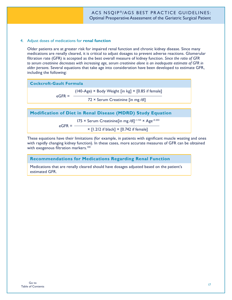### 4. Adjust doses of medications for **renal function**

 $eGFR = -$ 

Older patients are at greater risk for impaired renal function and chronic kidney disease. Since many medications are renally cleared, it is critical to adjust dosages to prevent adverse reactions. Glomerular filtration rate (GFR) is accepted as the best overall measure of kidney function. *Since the ratio of GFR to serum creatinine decreases with increasing age, serum creatinine alone is an inadequate estimate of GFR in older persons.* Several equations that take age into consideration have been developed to estimate GFR, including the following:

**Cockcroft-Gault Formula**

(140-Age)  $\times$  Body Weight [in kg]  $\times$  [0.85 if female]

72 × Serum Creatinine [in mg ⁄dl]

**Modification of Diet in Renal Disease (MDRD) Study Equation**

175  $\times$  Serum Creatinine[in mg/dl] $^{\text{-1.154}}$   $\times$  Age<sup>-0.203</sup>

 $eGFR = \times$  [1.212 if black]  $\times$  [0.742 if female]

These equations have their limitations (for example, in patients with significant muscle wasting and ones with rapidly changing kidney function). In these cases, more accurate measures of GFR can be obtained with exogenous filtration markers. $^{100}$ 

**Recommendations for Medications Regarding Renal Function**

Medications that are renally cleared should have dosages adjusted based on the patient's estimated GFR.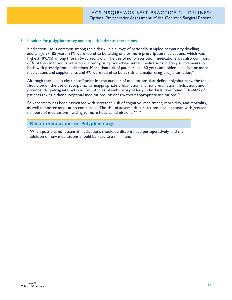#### 5. Monitor for **polypharmacy** and potential adverse interactions.

Medication use is common among the elderly; in a survey of nationally sampled community dwelling adults age 57–85 years, 81% were found to be taking one or more prescription medications, which was highest (89.7%) among those 75–85 years old. The use of nonprescription medications was also common; 68% of the older adults were concurrently using over-the-counter medications, dietary supplements, or both with prescription medications. More than half of patients, age 60 years and older, used five or more medications and supplements and 4% were found to be at risk of a major drug-drug interaction.<sup>101</sup>

Although there is no clear cutoff point for the number of medications that define polypharmacy, the focus should be on the use of suboptimal or inappropriate prescription and nonprescription medications and potential drug-drug interactions. Two studies of ambulatory elderly individuals have found 55%–60% of patients taking either suboptimal medications, or ones without appropriate indications.<sup>96</sup>

Polypharmacy has been associated with increased risk of cognitive impairment, morbidity, and mortality, as well as poorer medication compliance. The risk of adverse drug reactions also increases with greater numbers of medications, leading to more hospital admissions.<sup>102,103</sup>

### **Recommendations on Polypharmacy**

When possible, nonessential medications should be discontinued perioperatively, and the addition of new medications should be kept to a minimum.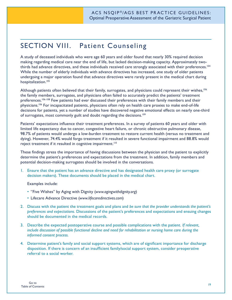# SECTION VIII. Patient Counseling

A study of deceased individuals who were age 60 years and older found that nearly 30% required decision making regarding medical care near the end of life, but lacked decision-making capacity. Approximately twothirds had advance directives, and these individuals received care strongly associated with their preferences.<sup>104</sup> While the number of elderly individuals with advance directives has increased, one study of older patients undergoing a major operation found that advance directives were rarely present in the medical chart during hospitalization.<sup>105</sup>

Although patients often believed that their family, surrogates, and physicians could represent their wishes,<sup>106</sup> the family members, surrogates, and physicians often failed to accurately predict the patients' treatment preferences.106-108 Few patients had ever discussed their preferences with their family members and their physicians.106 For incapacitated patients, physicians often rely on health care proxies to make end-of-life decisions for patients, yet a number of studies have discovered negative emotional effects on nearly one-third of surrogates, most commonly guilt and doubt regarding the decisions.<sup>109</sup>

Patients' expectations influence their treatment preferences. In a survey of patients 60 years and older with limited life expectancy due to cancer, congestive heart failure, or chronic obstructive pulmonary disease, 98.7% of patients would undergo a low-burden treatment to restore current health (versus no treatment and dying). However, 74.4% would forgo treatment if it resulted in severe functional impairment and 88.8% would reject treatment if it resulted in cognitive impairment.<sup>110</sup>

These findings stress the importance of having discussions between the physician and the patient to explicitly determine the patient's preferences and expectations from the treatment. In addition, family members and potential decision-making surrogates should be involved in the conversations.

1. Ensure that the patient has an advance directive and has designated health care proxy (or surrogate decision makers). These documents should be placed in the medical chart.

Examples include:

- "Five Wishes" by Aging with Dignity (*www.agingwithdignity.org*)
- Lifecare Advance Directive (*www.lifecaredirectives.com*)
- 2. Discuss with the patient the treatment goals and plans and *be sure that the provider understands the patient's preferences and expectations*. Discussions of the patient's preferences and expectations and ensuing changes should be documented in the medical records.
- 3. Describe the expected postoperative course and possible complications with the patient*. If relevant, include discussion of possible functional decline and need for rehabilitation or nursing home care during the informed consent process.*
- 4. Determine patient's family and social support systems, which are of significant importance for discharge disposition. If there is concern of an insufficient family/social support system, consider preoperative referral to a social worker.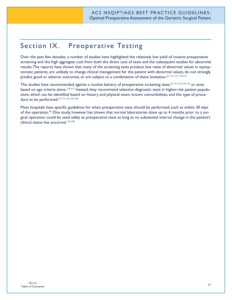# Section IX. Preoperative Testing

Over the past few decades, a number of studies have highlighted the relatively low yield of routine preoperative screening and the high aggregate cost from both the direct cost of tests and the subsequent studies for abnormal results. The reports have shown that many of the screening tests produce low rates of abnormal values in asymptomatic patients, are unlikely to change clinical management for the patient with abnormal values, do not strongly predict good or adverse outcomes, or are subject to a combination of these limitation.<sup>21,111-113</sup> 114,115

The studies have recommended against a routine battery of preoperative screening tests,<sup>21,111,112,114-116</sup> or ones based on age criteria alone.<sup>116,117</sup> Instead, they recommend selective diagnostic tests in higher-risk patient populations, which can be identified based on history and physical exam, known comorbidities, and the type of procedure to be performed.<sup>21,111,112,115-118</sup>

Most hospitals have specific guidelines for when preoperative tests should be performed, such as within 30 days of the operation.20 One study, however, has shown that normal laboratories done up to 4 months prior to a surgical operation could be used safely as preoperative tests as long as no substantial interval change in the patient's clinical status has occurred.<sup>112,118</sup>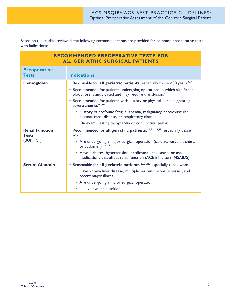Based on the studies reviewed, the following recommendations are provided for common preoperative tests with indications:

| <b>RECOMMENDED PREOPERATIVE TESTS FOR</b><br><b>ALL GERIATRIC SURGICAL PATIENTS</b> |                                                                                                                                                                                                                                                                                                                    |  |
|-------------------------------------------------------------------------------------|--------------------------------------------------------------------------------------------------------------------------------------------------------------------------------------------------------------------------------------------------------------------------------------------------------------------|--|
| <b>Preoperative</b><br><b>Tests</b>                                                 | <b>Indications</b>                                                                                                                                                                                                                                                                                                 |  |
| <b>Hemoglobin</b>                                                                   | • Reasonable for all geriatric patients, especially those >80 years. <sup>20,21</sup><br>• Recommended for patients undergoing operations in which significant<br>blood loss is anticipated and may require transfusion. <sup>112,113</sup><br>• Recommended for patients with history or physical exam suggesting |  |
|                                                                                     | severe anemia:[12,113]<br>• History of profound fatigue, anemia, malignancy, cardiovascular<br>disease, renal disease, or respiratory disease.<br>• On exam, resting tachycardia or conjunctival pallor.                                                                                                           |  |
| <b>Renal Function</b><br><b>Tests</b><br>(BUN, Cr)                                  | • Recommended for all geriatric patients, <sup>20,21,112,113</sup> especially those<br>who:<br>• Are undergoing a major surgical operation (cardiac, vascular, chest,                                                                                                                                              |  |
|                                                                                     | or abdomen). <sup>112,113</sup><br>• Have diabetes, hypertension, cardiovascular disease, or use<br>medications that affect renal function (ACE inhibitors, NSAIDS).                                                                                                                                               |  |
| <b>Serum Albumin</b>                                                                | • Reasonable for all geriatric patients, 20, 21, 112 especially those who:                                                                                                                                                                                                                                         |  |
|                                                                                     | • Have known liver disease, multiple serious chronic illnesses, and<br>recent major illness.                                                                                                                                                                                                                       |  |
|                                                                                     | • Are undergoing a major surgical operation.                                                                                                                                                                                                                                                                       |  |
|                                                                                     | • Likely have malnutrition.                                                                                                                                                                                                                                                                                        |  |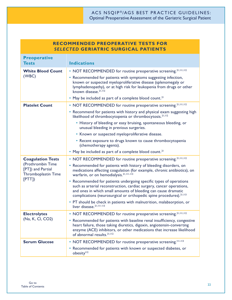### **RECOMMENDED PREOPERATIVE TESTS FOR**  *SELECTED* **GERIATRIC SURGICAL PATIENTS**

| <b>Preoperative</b><br><b>Tests</b>                                           | <b>Indications</b>                                                                                                                                                                                                                                                                              |  |  |
|-------------------------------------------------------------------------------|-------------------------------------------------------------------------------------------------------------------------------------------------------------------------------------------------------------------------------------------------------------------------------------------------|--|--|
| <b>White Blood Count</b><br>(WBC)                                             | • NOT RECOMMENDED for routine preoperative screening. <sup>21,111,112</sup>                                                                                                                                                                                                                     |  |  |
|                                                                               | • Recommended for patients with symptoms suggesting infection,<br>known or suspected myeloproliferative disease (splenomegaly or<br>lymphadenopathy), or at high risk for leukopenia from drugs or other<br>known disease. <sup>21,112</sup>                                                    |  |  |
|                                                                               | • May be included as part of a complete blood count. <sup>21</sup>                                                                                                                                                                                                                              |  |  |
| <b>Platelet Count</b>                                                         | • NOT RECOMMENDED for routine preoperative screening. <sup>21,111,112</sup>                                                                                                                                                                                                                     |  |  |
|                                                                               | • Recommend for patients with history and physical exam suggesting high<br>likelihood of thrombocytopenia or thrombocytosis. <sup>21,112</sup>                                                                                                                                                  |  |  |
|                                                                               | • History of bleeding or easy bruising, spontaneous bleeding, or<br>unusual bleeding in previous surgeries.                                                                                                                                                                                     |  |  |
|                                                                               | • Known or suspected myeloproliferative disease.                                                                                                                                                                                                                                                |  |  |
|                                                                               | • Recent exposure to drugs known to cause thrombocytopenia<br>(chemotherapy agents).                                                                                                                                                                                                            |  |  |
|                                                                               | • May be included as part of a complete blood count. <sup>21</sup>                                                                                                                                                                                                                              |  |  |
| <b>Coagulation Tests</b>                                                      | • NOT RECOMMENDED for routine preoperative screening. <sup>21,111,112</sup>                                                                                                                                                                                                                     |  |  |
| (Prothrombin Time<br>[PT]) and Partial<br><b>Thromboplastin Time</b><br>[PTT] | • Recommended for patients with history of bleeding disorders, on<br>medications affecting coagulation (for example, chronic antibiotics), on<br>warfarin, or on hemodialysis. <sup>21,111-113</sup>                                                                                            |  |  |
|                                                                               | • Recommended for patients undergoing specific types of operations<br>such as arterial reconstruction, cardiac surgery, cancer operations,<br>and ones in which small amounts of bleeding can cause dramatic<br>complications (neurosurgical or orthopedic spine procedures). <sup>21,113</sup> |  |  |
|                                                                               | • PT should be check in patients with malnutrition, malabsorption, or<br>liver disease. <sup>21,111-113</sup>                                                                                                                                                                                   |  |  |
| <b>Electrolytes</b>                                                           | • NOT RECOMMENDED for routine preoperative screening. <sup>21,111,112</sup>                                                                                                                                                                                                                     |  |  |
| (Na, K, Cl, CO2)                                                              | • Recommended for patients with baseline renal insufficiency, congestive<br>heart failure, those taking diuretics, digoxin, angiotensin-converting<br>enzyme (ACE) inhibitors, or other medications that increase likelihood<br>of abnormal results. <sup>21,112</sup>                          |  |  |
| <b>Serum Glucose</b>                                                          | • NOT RECOMMENDED for routine preoperative screening.[11-113                                                                                                                                                                                                                                    |  |  |
|                                                                               | • Recommended for patients with known or suspected diabetes, or<br>obesity <sup>112</sup>                                                                                                                                                                                                       |  |  |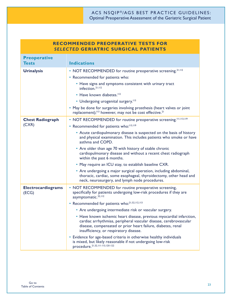### **RECOMMENDED PREOPERATIVE TESTS FOR**  *SELECTED* **GERIATRIC SURGICAL PATIENTS**

| <b>Preoperative</b><br><b>Tests</b> | <b>Indications</b>                                                                                                                                                                                                                                  |  |
|-------------------------------------|-----------------------------------------------------------------------------------------------------------------------------------------------------------------------------------------------------------------------------------------------------|--|
| <b>Urinalysis</b>                   | • NOT RECOMMENDED for routine preoperative screening. <sup>21,112</sup>                                                                                                                                                                             |  |
|                                     | • Recommended for patients who:                                                                                                                                                                                                                     |  |
|                                     | • Have signs and symptoms consistent with urinary tract                                                                                                                                                                                             |  |
|                                     | infection. <sup>21,112</sup>                                                                                                                                                                                                                        |  |
|                                     | • Have known diabetes. <sup>112</sup>                                                                                                                                                                                                               |  |
|                                     | • Undergoing urogenital surgery. <sup>113</sup>                                                                                                                                                                                                     |  |
|                                     | • May be done for surgeries involving prosthesis (heart valves or joint<br>replacement); <sup>113</sup> however, may not be cost effective. <sup>21</sup>                                                                                           |  |
| <b>Chest Radiograph</b>             | • NOT RECOMMENDED for routine preoperative screening. [11,113,119                                                                                                                                                                                   |  |
| (CXR)                               | • Recommended for patients who: 13,119                                                                                                                                                                                                              |  |
|                                     | • Acute cardiopulmonary disease is suspected on the basis of history<br>and physical examination. This includes patients who smoke or have<br>asthma and COPD.                                                                                      |  |
|                                     | • Are older than age 70 with history of stable chronic<br>cardiopulmonary disease and without a recent chest radiograph<br>within the past 6 months.                                                                                                |  |
|                                     | • May require an ICU stay, to establish baseline CXR.                                                                                                                                                                                               |  |
|                                     | • Are undergoing a major surgical operation, including abdominal,<br>thoracic, cardiac, some esophageal, thyroidectomy, other head and<br>neck, neurosurgery, and lymph node procedures.                                                            |  |
| <b>Electrocardiograms</b><br>(ECG)  | • NOT RECOMMENDED for routine preoperative screening,<br>specifically for patients undergoing low-risk procedures if they are<br>asymptomatic. <sup>52,112</sup>                                                                                    |  |
|                                     | • Recommended for patients who:21,52,112,113                                                                                                                                                                                                        |  |
|                                     | • Are undergoing intermediate risk or vascular surgery.                                                                                                                                                                                             |  |
|                                     | • Have known ischemic heart disease, previous myocardial infarction,<br>cardiac arrhythmias, peripheral vascular disease, cerebrovascular<br>disease, compensated or prior heart failure, diabetes, renal<br>insufficiency, or respiratory disease. |  |
|                                     | • Evidence for age-based criteria in otherwise healthy individuals<br>is mixed, but likely reasonable if not undergoing low-risk<br>procedure. 21, 52, 111-113, 120-122                                                                             |  |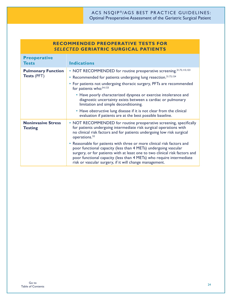### **RECOMMENDED PREOPERATIVE TESTS FOR**  *SELECTED* **GERIATRIC SURGICAL PATIENTS**

| <b>Preoperative</b><br><b>Tests</b>         | <b>Indications</b>                                                                                                                                                                                                                                                                                                                                          |  |  |
|---------------------------------------------|-------------------------------------------------------------------------------------------------------------------------------------------------------------------------------------------------------------------------------------------------------------------------------------------------------------------------------------------------------------|--|--|
| <b>Pulmonary Function</b>                   | • NOT RECOMMENDED for routine preoperative screening. <sup>21,72,113,123</sup>                                                                                                                                                                                                                                                                              |  |  |
| Tests (PFT)                                 | • Recommended for patients undergoing lung resection. <sup>21,72,124</sup>                                                                                                                                                                                                                                                                                  |  |  |
|                                             | • For patients not undergoing thoracic surgery, PFTs are recommended<br>for patients who:54,123                                                                                                                                                                                                                                                             |  |  |
|                                             | • Have poorly characterized dyspnea or exercise intolerance and<br>diagnostic uncertainty exists between a cardiac or pulmonary<br>limitation and simple deconditioning.                                                                                                                                                                                    |  |  |
|                                             | • Have obstructive lung disease if it is not clear from the clinical<br>evaluation if patients are at the best possible baseline.                                                                                                                                                                                                                           |  |  |
| <b>Noninvasive Stress</b><br><b>Testing</b> | • NOT RECOMMENDED for routine preoperative screening, specifically<br>for patients undergoing intermediate risk surgical operations with<br>no clinical risk factors and for patients undergoing low risk surgical<br>operations. <sup>52</sup>                                                                                                             |  |  |
|                                             | • Reasonable for patients with three or more clinical risk factors and<br>poor functional capacity (less than 4 METs) undergoing vascular<br>surgery, or for patients with at least one to two clinical risk factors and<br>poor functional capacity (less than 4 METs) who require intermediate<br>risk or vascular surgery, if it will change management. |  |  |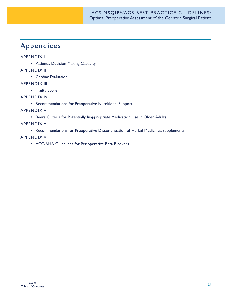# Appendices

APPENDIX I

• Patient's Decision Making Capacity

APPENDIX II

Cardiac Evaluation

APPENDIX III

• Frailty Score

### APPENDIX IV

• Recommendations for Preoperative Nutritional Support

### APPENDIX V

• Beers Criteria for Potentially Inappropriate Medication Use in Older Adults

### APPENDIX VI

Recommendations for Preoperative Discontinuation of Herbal Medicines/Supplements

### APPENDIX VII

ACC/AHA Guidelines for Perioperative Beta Blockers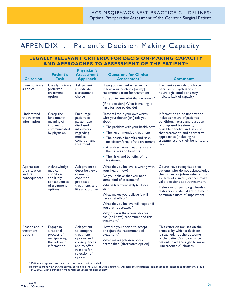# APPENDIX I. Patient's Decision Making Capacity

# **LEGALLY RELEVANT CRITERIA FOR DECISION-MAKING CAPACITY AND APPROACHES TO ASSESSMENT OF THE PATIENT22**

| <b>Criterion</b>                                       | <b>Patient's</b><br><b>Task</b>                                                              | <b>Physician's</b><br><b>Assessment</b><br><b>Approach</b>                                                                                                                                    | <b>Questions for Clinical</b><br><b>Assessment</b> *                                                                                                                                                                                                                                                                                                                  | <b>Comments</b>                                                                                                                                                                                                                                                                       |
|--------------------------------------------------------|----------------------------------------------------------------------------------------------|-----------------------------------------------------------------------------------------------------------------------------------------------------------------------------------------------|-----------------------------------------------------------------------------------------------------------------------------------------------------------------------------------------------------------------------------------------------------------------------------------------------------------------------------------------------------------------------|---------------------------------------------------------------------------------------------------------------------------------------------------------------------------------------------------------------------------------------------------------------------------------------|
| Communicate<br>a choice                                | Clearly indicate<br>preferred<br>treatment<br>option                                         | Ask patient<br>to indicate<br>a treatment<br>choice                                                                                                                                           | Have you decided whether to<br>follow your doctor's [or my]<br>recommendation for treatment?<br>Can you tell me what that decision is?<br>[If no decision] What is making it<br>hard for you to decide?                                                                                                                                                               | Frequent reversals of choice<br>because of psychiatric or<br>neurologic conditions may<br>indicate lack of capacity                                                                                                                                                                   |
| Understand<br>the relevant<br>information              | Grasp the<br>fundamental<br>meaning of<br>information<br>communicated<br>by physician        | Encourage<br>patient to<br>paraphrase<br>disclosed<br>information<br>regarding<br>medical<br>condition and<br>treatment                                                                       | Please tell me in your own words<br>what your doctor [or I] told you<br>about:<br>• The problem with your health now<br>• The recommended treatment<br>• The possible benefits and risks<br>(or discomforts) of the treatment<br>• Any alternative treatments and<br>their risks and benefits<br>• The risks and benefits of no<br>treatment                          | Information to be understood<br>includes nature of patient's<br>condition, nature and purpose<br>of proposed treatment,<br>possible benefits and risks of<br>that treatment, and alternative<br>approaches (including no<br>treatment) and their benefits and<br>risks                |
| Appreciate<br>the situation<br>and its<br>consequences | Acknowledge<br>medical<br>condition<br>and likely<br>consequences<br>of treatment<br>options | Ask patient to<br>describe views<br>of medical<br>condition,<br>proposed<br>treatment, and<br>likely outcomes                                                                                 | What do you believe is wrong with<br>your health now?<br>Do you believe that you need<br>some kind of treatment?<br>What is treatment likely to do for<br>you?<br>What makes you believe it will<br>have that effect?<br>What do you believe will happen if<br>you are not treated?<br>Why do you think your doctor<br>has [or I have] recommended this<br>treatment? | Courts have recognized that<br>patients who do not acknowledge<br>their illnesses (often referred to<br>as "lack of insight") cannot make<br>valid decisions about treatment<br>Delusions or pathologic levels of<br>distortion or denial are the most<br>common causes of impairment |
| Reason about<br>treatment<br>options                   | Engage in<br>a rational<br>process of<br>manipulating<br>the relevant<br>information         | Ask patient<br>to compare<br>treatment<br>options and<br>consequences<br>and to offer<br>reasons for<br>selection of<br>option<br>* Patients' responses to these questions need not be verbal | How did you decide to accept<br>or reject the recommended<br>treatment?<br>What makes [chosen option]<br>better than [alternative option]?                                                                                                                                                                                                                            | This criterion focuses on the<br>process by which a decision<br>is reached, not the outcome<br>of the patient's choice, since<br>patients have the right to make<br>"unreasonable" choices                                                                                            |

\* Patients' responses to these questions need not be verbal.

Reprinted from *New England Journal of Medicine,* Vol 357(18), Appelbaum PS. Assessment of patients' competence to consent to treatment, p1834- 1840, 2007, with permission from Massachusetts Medical Society.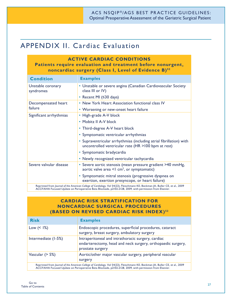# APPENDIX II. Cardiac Evaluation

### **ACTIVE CARDIAC CONDITIONS Patients require evaluation and treatment before nonurgent, noncardiac surgery (Class I, Level of Evidence B)52**

| <b>Condition</b>               | <b>Examples</b>                                                                                                                  |  |
|--------------------------------|----------------------------------------------------------------------------------------------------------------------------------|--|
| Unstable coronary<br>syndromes | • Unstable or severe angina (Canadian Cardiovascular Society<br>class III or IV)                                                 |  |
|                                | • Recent MI (≤30 days)                                                                                                           |  |
| Decompensated heart            | • New York Heart Association functional class IV                                                                                 |  |
| failure                        | • Worsening or new-onset heart failure                                                                                           |  |
| Significant arrhythmias        | • High-grade A-V block                                                                                                           |  |
|                                | • Mobitz II A-V block                                                                                                            |  |
|                                | • Third-degree A-V heart block                                                                                                   |  |
|                                | • Symptomatic ventricular arrhythmias                                                                                            |  |
|                                | • Supraventricular arrhythmias (including atrial fibrillation) with<br>uncontrolled ventricular rate (HR >100 bpm at rest)       |  |
|                                | • Symptomatic bradycardia                                                                                                        |  |
|                                | • Newly recognized ventricular tachycardia                                                                                       |  |
| Severe valvular disease        | • Severe aortic stenosis (mean pressure gradient >40 mmHg,<br>aortic valve area < $\mathsf{I}$ cm <sup>2</sup> , or symptomatic) |  |
|                                | • Symptomatic mitral stenosis (progressive dyspnea on<br>exertion, exertion presyncope, or heart failure)                        |  |
|                                | Reprinted from Journal of the American College of Cardiology, Vol 54(22), Fleischmann KE, Beckman JA, Buller CE, et al., 2009    |  |

ACCF/AHA Focused Update on Perioperative Beta Blockade, p2102-2128, 2009, with permission from Elsevier.

### **CARDIAC RISK STRATIFICATION FOR NONCARDIAC SURGICAL PROCEDURES (BASED ON REVISED CARDIAC RISK INDEX)52**

| <b>Risk</b>                                                                                                                   | <b>Examples</b>                                                                                                                       |  |
|-------------------------------------------------------------------------------------------------------------------------------|---------------------------------------------------------------------------------------------------------------------------------------|--|
| Low $(< 1\%)$                                                                                                                 | Endoscopic procedures, superficial procedures, cataract<br>surgery, breast surgery, ambulatory surgery                                |  |
| Intermediate (1-5%)                                                                                                           | Intraperitoneal and intrathoracic surgery, cardiac<br>endarterectomy, head and neck surgery, orthopaedic surgery,<br>prostate surgery |  |
| Vascular $(> 5%)$                                                                                                             | Aortic/other major vascular surgery, peripheral vascular<br>surgery                                                                   |  |
| Reprinted from Journal of the American College of Cardiology, Vol 54(22), Fleischmann KE, Beckman JA, Buller CE, et al., 2009 |                                                                                                                                       |  |

Reprinted from *Journal of the American College of Cardiology*, Vol 54(22), Fleischmann KE, Beckman JA, Buller CE, et al., 2009 ACCF/AHA Focused Update on Perioperative Beta Blockade, p2102-2128, 2009, with permission from Elsevier.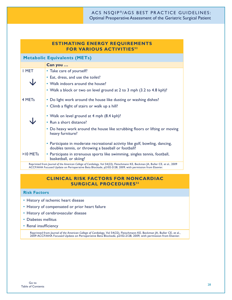| <b>ESTIMATING ENERGY REQUIREMENTS</b> |
|---------------------------------------|
| <b>FOR VARIOUS ACTIVITIES52</b>       |

#### **Metabolic Equivalents (METs)**

| Can you |  |
|---------|--|
|         |  |

|                    | .                                                                                                                                                                                                                                         |
|--------------------|-------------------------------------------------------------------------------------------------------------------------------------------------------------------------------------------------------------------------------------------|
| I MET              | • Take care of yourself?                                                                                                                                                                                                                  |
|                    | • Eat, dress, and use the toilet?                                                                                                                                                                                                         |
|                    | • Walk indoors around the house?                                                                                                                                                                                                          |
|                    | • Walk a block or two on level ground at 2 to 3 mph (3.2 to 4.8 kph)?                                                                                                                                                                     |
| 4 MET <sub>s</sub> | • Do light work around the house like dusting or washing dishes?                                                                                                                                                                          |
|                    | • Climb a flight of stairs or walk up a hill?                                                                                                                                                                                             |
|                    | • Walk on level ground at 4 mph (8.4 kph)?                                                                                                                                                                                                |
|                    | • Run a short distance?                                                                                                                                                                                                                   |
|                    | • Do heavy work around the house like scrubbing floors or lifting or moving<br>heavy furniture?                                                                                                                                           |
|                    | • Participate in moderate recreational activity like golf, bowling, dancing,<br>doubles tennis, or throwing a baseball or football?                                                                                                       |
| $>10$ METs         | • Participate in strenuous sports like swimming, singles tennis, football,<br>basketball, or skiing?                                                                                                                                      |
|                    | Reprinted from Journal of the American College of Cardiology, Vol 54(22), Fleischmann KE, Beckman JA, Buller CE, et al., 2009<br>ACCF/AHA Focused Update on Perioperative Beta Blockade, p2102-2128, 2009, with permission from Elsevier. |

### **CLINICAL RISK FACTORS FOR NONCARDIAC SURGICAL PROCEDURES<sup>52</sup>**

### **Risk Factors**

- History of ischemic heart disease
- History of compensated or prior heart failure
- History of cerebrovascular disease
- Diabetes mellitus
- Renal insufficiency

Reprinted from *Journal of the American College of Cardiology*, Vol 54(22), Fleischmann KE, Beckman JA, Buller CE, et al., 2009 ACCF/AHA Focused Update on Perioperative Beta Blockade, p2102-2128, 2009, with permission from Elsevier.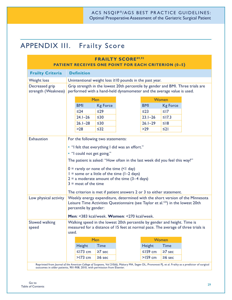# APPENDIX III. Frailty Score

| <b>FRAILTY SCORE89,92</b>                                                                                                                                                                                                         |                                                                                                                                                                                                                                                                                                                                                                                                                   |                                                                                                                                                          |  |             |                 |  |
|-----------------------------------------------------------------------------------------------------------------------------------------------------------------------------------------------------------------------------------|-------------------------------------------------------------------------------------------------------------------------------------------------------------------------------------------------------------------------------------------------------------------------------------------------------------------------------------------------------------------------------------------------------------------|----------------------------------------------------------------------------------------------------------------------------------------------------------|--|-------------|-----------------|--|
| <b>PATIENT RECEIVES ONE POINT FOR EACH CRITERION (0-5)</b>                                                                                                                                                                        |                                                                                                                                                                                                                                                                                                                                                                                                                   |                                                                                                                                                          |  |             |                 |  |
| <b>Frailty Criteria</b>                                                                                                                                                                                                           | <b>Definition</b>                                                                                                                                                                                                                                                                                                                                                                                                 |                                                                                                                                                          |  |             |                 |  |
| Weight loss                                                                                                                                                                                                                       | Unintentional weight loss $\geq$ 10 pounds in the past year.                                                                                                                                                                                                                                                                                                                                                      |                                                                                                                                                          |  |             |                 |  |
| Decreased grip<br>strength (Weakness)                                                                                                                                                                                             |                                                                                                                                                                                                                                                                                                                                                                                                                   | Grip strength in the lowest 20th percentile by gender and BMI. Three trials are<br>performed with a hand-held dynamometer and the average value is used. |  |             |                 |  |
|                                                                                                                                                                                                                                   |                                                                                                                                                                                                                                                                                                                                                                                                                   | Men                                                                                                                                                      |  |             | Women           |  |
|                                                                                                                                                                                                                                   | <b>BMI</b>                                                                                                                                                                                                                                                                                                                                                                                                        | <b>Kg Force</b>                                                                                                                                          |  | <b>BMI</b>  | <b>Kg Force</b> |  |
|                                                                                                                                                                                                                                   | $\leq$ 24                                                                                                                                                                                                                                                                                                                                                                                                         | $\leq$ 29                                                                                                                                                |  | $\leq$ 23   | $\leq$  7       |  |
|                                                                                                                                                                                                                                   | $24.1 - 26$                                                                                                                                                                                                                                                                                                                                                                                                       | $\leq 30$                                                                                                                                                |  | $23.1 - 26$ | $\leq$ 17.3     |  |
|                                                                                                                                                                                                                                   | $26.1 - 28$                                                                                                                                                                                                                                                                                                                                                                                                       | $\leq 30$                                                                                                                                                |  | $26.1 - 29$ | $≤$  8          |  |
|                                                                                                                                                                                                                                   | $>28$                                                                                                                                                                                                                                                                                                                                                                                                             | $\leq$ 32                                                                                                                                                |  | >29         | $\leq$ 21       |  |
|                                                                                                                                                                                                                                   | • "I felt that everything I did was an effort."<br>• "I could not get going."<br>The patient is asked: "How often in the last week did you feel this way?"<br>$0 =$ rarely or none of the time $(1 day)$<br>$I =$ some or a little of the time ( $I - 2$ days)<br>$2 = a$ moderate amount of the time (3-4 days)<br>$3 =$ most of the time<br>The criterion is met if patient answers 2 or 3 to either statement. |                                                                                                                                                          |  |             |                 |  |
| Low physical activity                                                                                                                                                                                                             | Weekly energy expenditure, determined with the short version of the Minnesota<br>Leisure Time Activities Questionnaire (see Taylor et al. <sup>125</sup> ) in the lowest 20th<br>percentile by gender:<br>Men: <383 kcal/week. Women: <270 kcal/week.                                                                                                                                                             |                                                                                                                                                          |  |             |                 |  |
| Slowed walking<br>speed                                                                                                                                                                                                           | Walking speed in the lowest 20th percentile by gender and height. Time is<br>measured for a distance of 15 feet at normal pace. The average of three trials is<br>used.                                                                                                                                                                                                                                           |                                                                                                                                                          |  |             |                 |  |
|                                                                                                                                                                                                                                   |                                                                                                                                                                                                                                                                                                                                                                                                                   | Men                                                                                                                                                      |  |             | Women           |  |
|                                                                                                                                                                                                                                   | Height                                                                                                                                                                                                                                                                                                                                                                                                            | <b>Time</b>                                                                                                                                              |  | Height      | <b>Time</b>     |  |
|                                                                                                                                                                                                                                   | $≤173$ cm                                                                                                                                                                                                                                                                                                                                                                                                         | $\ge 7$ sec                                                                                                                                              |  | ≤159 cm     | $\geq 7$ sec    |  |
|                                                                                                                                                                                                                                   | $>173$ cm                                                                                                                                                                                                                                                                                                                                                                                                         | $\geq 6$ sec                                                                                                                                             |  | $>159$ cm   | $\geq 6$ sec    |  |
| Reprinted from Journal of the American College of Surgeons, Vol 210(6), Makary MA, Segev DL, Pronovost PJ, et al. Frailty as a predictor of surgical<br>outcomes in older patients, 901-908, 2010, with permission from Elsevier. |                                                                                                                                                                                                                                                                                                                                                                                                                   |                                                                                                                                                          |  |             |                 |  |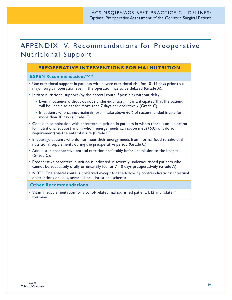# APPENDIX IV. Recommendations for Preoperative Nutritional Support

### **PREOPERATIVE INTERVENTIONS FOR MALNUTRITION**

### **ESPEN Recommendations<sup>95,126</sup>**

- Use nutritional support in patients with severe nutritional risk for 10–14 days prior to a major surgical operation even if the operation has to be delayed (Grade A).
- Initiate nutritional support (by the enteral route if possible) without delay:
	- Even in patients without obvious under-nutrition, if it is anticipated that the patient will be unable to eat for more than 7 days perioperatively (Grade C).
	- In patients who cannot maintain oral intake above 60% of recommended intake for more than 10 days (Grade C).
- Consider combination with parenteral nutrition in patients in whom there is an indication for nutritional support and in whom energy needs cannot be met (<60% of caloric requirement) via the enteral route (Grade C).
- Encourage patients who do not meet their energy needs from normal food to take oral nutritional supplements during the preoperative period (Grade C).
- Administer preoperative enteral nutrition preferably before admission to the hospital (Grade C).
- Preoperative parenteral nutrition is indicated in severely undernourished patients who cannot be adequately orally or enterally fed for 7–10 days preoperatively (Grade A).
- NOTE: The enteral route is preferred except for the following contraindications: Intestinal obstructions or ileus, severe shock, intestinal ischemia.

### **Other Recommendations**

• Vitamin supplementation for alcohol-related malnourished patient: B12 and folate,<sup>21</sup> thiamine.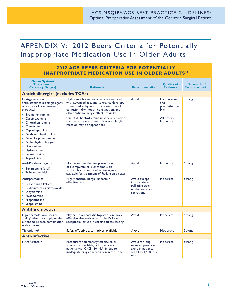# APPENDIX V: 2012 Beers Criteria for Potentially Inappropriate Medication Use in Older Adults

### **2012 AGS BEERS CRITERIA FOR POTENTIALLY INAPPROPRIATE MEDICATION USE IN OLDER ADULTS<sup>97</sup>**

| <b>Organ System/</b><br><b>Therapeutic</b><br>Category/Drug(s)                                                                                                                                                                                                                                                                        | <b>Rationale</b>                                                                                                                                                                                                                                                                                                                                     | <b>Recommendation</b>                                                                 | <b>Quality of</b><br><b>Evidence</b>                                   | <b>Strength of</b><br><b>Recommendation</b> |
|---------------------------------------------------------------------------------------------------------------------------------------------------------------------------------------------------------------------------------------------------------------------------------------------------------------------------------------|------------------------------------------------------------------------------------------------------------------------------------------------------------------------------------------------------------------------------------------------------------------------------------------------------------------------------------------------------|---------------------------------------------------------------------------------------|------------------------------------------------------------------------|---------------------------------------------|
| <b>Anticholinergics (excludes TCAs)</b>                                                                                                                                                                                                                                                                                               |                                                                                                                                                                                                                                                                                                                                                      |                                                                                       |                                                                        |                                             |
| First-generation<br>antihistamines (as single agent<br>or as part of combination<br>products)<br><b>Brompheniramine</b><br>Carbinoxamine<br>Chlorpheniramine<br>Clemastine<br>Cyproheptadine<br>Dexbrompheniramine<br>Dexchlorpheniramine<br>٠<br>Diphenhydramine (oral)<br>Doxylamine<br>Hydroxyzine<br>Promethazine<br>Triprolidine | Highly anticholinergic; clearance reduced<br>with advanced age, and tolerance develops<br>when used as hypnotic; increased risk of<br>confusion, dry mouth, constipation, and<br>other anticholinergic effects/toxicity<br>Use of diphenhydramine in special situations<br>such as acute treatment of severe allergic<br>reaction may be appropriate | Avoid                                                                                 | Hydroxyzine<br>and<br>promethazine:<br>High<br>All others:<br>Moderate | Strong                                      |
| Anti-Parkinson agents<br>• Benztropine (oral)<br>• Trihexyphenidyl                                                                                                                                                                                                                                                                    | Not recommended for prevention<br>of extrapyramidal symptoms with<br>antipsychotics; more effective agents<br>available for treatment of Parkinson disease                                                                                                                                                                                           | Avoid                                                                                 | Moderate                                                               | Strong                                      |
| Antispasmodics<br>Belladonna alkaloids<br>Clidinium-chlordiazepoxide<br>$\bullet$<br>Dicyclomine<br>Hyoscyamine<br>Propantheline<br>Scopolamine                                                                                                                                                                                       | Highly anticholinergic, uncertain<br>effectiveness                                                                                                                                                                                                                                                                                                   | Avoid except<br>in short-term<br>palliative care<br>to decrease oral<br>secretions    | Moderate                                                               | Strong                                      |
| <b>Antithrombotics</b>                                                                                                                                                                                                                                                                                                                |                                                                                                                                                                                                                                                                                                                                                      |                                                                                       |                                                                        |                                             |
| Dipyridamole, oral short-<br>acting* (does not apply to the<br>extended-release combination<br>with aspirin)                                                                                                                                                                                                                          | May cause orthostatic hypotension; more<br>effective alternatives available; IV form<br>acceptable for use in cardiac stress testing                                                                                                                                                                                                                 | Avoid                                                                                 | Moderate                                                               | Strong                                      |
| Ticlopidine*                                                                                                                                                                                                                                                                                                                          | Safer, effective alternatives available                                                                                                                                                                                                                                                                                                              | Avoid                                                                                 | Moderate                                                               | Strong                                      |
| <b>Anti-Infective</b>                                                                                                                                                                                                                                                                                                                 |                                                                                                                                                                                                                                                                                                                                                      |                                                                                       |                                                                        |                                             |
| Nitrofurantoin                                                                                                                                                                                                                                                                                                                        | Potential for pulmonary toxicity; safer<br>alternatives available; lack of efficacy in<br>patients with CrCl <60 mL/min due to<br>inadequate drug concentration in the urine                                                                                                                                                                         | Avoid for long-<br>term suppression;<br>avoid in patients<br>with CrCl <60 mL/<br>min | Moderate                                                               | Strong                                      |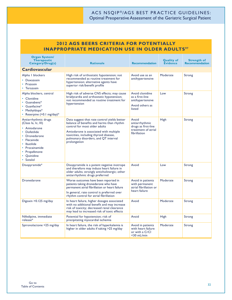| <b>2012 AGS BEERS CRITERIA FOR POTENTIALLY</b><br><b>INAPPROPRIATE MEDICATION USE IN OLDER ADULTS<sup>97</sup></b>                                                                         |                                                                                                                                                                                                                                                                        |                                                                                       |                                      |                                             |
|--------------------------------------------------------------------------------------------------------------------------------------------------------------------------------------------|------------------------------------------------------------------------------------------------------------------------------------------------------------------------------------------------------------------------------------------------------------------------|---------------------------------------------------------------------------------------|--------------------------------------|---------------------------------------------|
| <b>Organ System/</b><br><b>Therapeutic</b><br>Category/Drug(s)                                                                                                                             | <b>Rationale</b>                                                                                                                                                                                                                                                       | <b>Recommendation</b>                                                                 | <b>Quality of</b><br><b>Evidence</b> | <b>Strength of</b><br><b>Recommendation</b> |
| <b>Cardiovascular</b>                                                                                                                                                                      |                                                                                                                                                                                                                                                                        |                                                                                       |                                      |                                             |
| Alpha I blockers<br>• Doxazosin<br>• Prazosin<br>• Terazosin                                                                                                                               | High risk of orthostatic hypotension; not<br>recommended as routine treatment for<br>hypertension; alternative agents have<br>superior risk/benefit profile                                                                                                            | Avoid use as an<br>antihypertensive                                                   | Moderate                             | Strong                                      |
| Alpha blockers, central<br>• Clonidine<br>• Guanabenz*<br>• Guanfacine*<br>• Methyldopa*<br>• Reserpine (>0.1 mg/day)*                                                                     | High risk of adverse CNS effects; may cause<br>bradycardia and orthostatic hypotension;<br>not recommended as routine treatment for<br>hypertension                                                                                                                    | Avoid clonidine<br>as a first-line<br>antihypertensive<br>Avoid others as<br>listed   | Low                                  | Strong                                      |
| Antiarrhythmic drugs<br>(Class la, lc, III)<br>• Amiodarone<br>• Dofetilide<br>• Dronedarone<br>• Flecainide<br>· Ibutilide<br>• Procainamide<br>• Propafenone<br>• Quinidine<br>• Sotalol | Data suggest that rate control yields better<br>balance of benefits and harms than rhythm<br>control for most older adults<br>Amiodarone is associated with multiple<br>toxicities, including thyroid disease,<br>pulmonary disorders, and QT interval<br>prolongation | Avoid<br>antiarrhythmic<br>drugs as first-line<br>treatment of atrial<br>fibrillation | High                                 | Strong                                      |
| Disopyramide*                                                                                                                                                                              | Disopyramide is a potent negative inotrope<br>and therefore may induce heart failure in<br>older adults; strongly anticholinergic; other<br>antiarrhythmic drugs preferred                                                                                             | Avoid                                                                                 | Low                                  | Strong                                      |
| Dronedarone                                                                                                                                                                                | Worse outcomes have been reported in<br>patients taking dronedarone who have<br>permanent atrial fibrillation or heart failure<br>In general, rate control is preferred over<br>rhythm control for atrial fibrillation                                                 | Avoid in patients<br>with permanent<br>atrial fibrillation or<br>heart failure        | Moderate                             | Strong                                      |
| Digoxin > 0.125 mg/day                                                                                                                                                                     | In heart failure, higher dosages associated<br>with no additional benefit and may increase<br>risk of toxicity; decreased renal clearance<br>may lead to increased risk of toxic effects                                                                               | Avoid                                                                                 | Moderate                             | Strong                                      |
| Nifedipine, immediate<br>release*                                                                                                                                                          | Potential for hypotension; risk of<br>precipitating myocardial ischemia                                                                                                                                                                                                | Avoid                                                                                 | High                                 | Strong                                      |
| Spironolactone >25 mg/day                                                                                                                                                                  | In heart failure, the risk of hyperkalemia is<br>higher in older adults if taking >25 mg/day                                                                                                                                                                           | Avoid in patients<br>with heart failure<br>or with a CrCl<br>$<$ 30 mL/min            | Moderate                             | Strong                                      |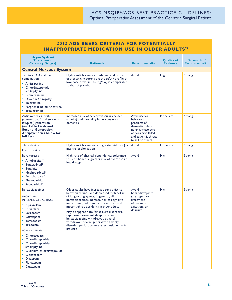| <b>2012 AGS BEERS CRITERIA FOR POTENTIALLY</b><br><b>INAPPROPRIATE MEDICATION USE IN OLDER ADULTS<sup>97</sup></b>                                                                                                                                                                                                                                     |                                                                                                                                                                                                                                                                                                                                                                                                                                                                                                           |                                                                                                                                                        |                                      |                                             |
|--------------------------------------------------------------------------------------------------------------------------------------------------------------------------------------------------------------------------------------------------------------------------------------------------------------------------------------------------------|-----------------------------------------------------------------------------------------------------------------------------------------------------------------------------------------------------------------------------------------------------------------------------------------------------------------------------------------------------------------------------------------------------------------------------------------------------------------------------------------------------------|--------------------------------------------------------------------------------------------------------------------------------------------------------|--------------------------------------|---------------------------------------------|
| <b>Organ System/</b><br><b>Therapeutic</b><br>Category/Drug(s)                                                                                                                                                                                                                                                                                         | <b>Rationale</b>                                                                                                                                                                                                                                                                                                                                                                                                                                                                                          | <b>Recommendation</b>                                                                                                                                  | <b>Quality of</b><br><b>Evidence</b> | <b>Strength of</b><br><b>Recommendation</b> |
| <b>Central Nervous System</b>                                                                                                                                                                                                                                                                                                                          |                                                                                                                                                                                                                                                                                                                                                                                                                                                                                                           |                                                                                                                                                        |                                      |                                             |
| Tertiary TCAs, alone or in<br>combination:<br>• Amitriptyline<br>• Chlordiazepoxide-<br>amitriptyline<br>• Clomipramine<br>• Doxepin >6 mg/day<br>• Imipramine<br>• Perphenazine-amitriptyline<br>• Trimipramine                                                                                                                                       | Highly anticholinergic, sedating, and causes<br>orthostatic hypotension; the safety profile of<br>low-dose doxepin $(56 \text{ mg/day})$ is comparable<br>to that of placebo                                                                                                                                                                                                                                                                                                                              | Avoid                                                                                                                                                  | High                                 | Strong                                      |
| Antipsychotics, first-<br>(conventional) and second-<br>(atypical) generation<br>(see Table First- and<br><b>Second-Generation</b><br><b>Antipsychotics below for</b><br>full list)                                                                                                                                                                    | Increased risk of cerebrovascular accident<br>(stroke) and mortality in persons with<br>dementia                                                                                                                                                                                                                                                                                                                                                                                                          | Avoid use for<br>behavioral<br>problems of<br>dementia unless<br>nonpharmacologic<br>options have failed<br>and patient is threat<br>to self or others | Moderate                             | Strong                                      |
| Thioridazine<br>Mesoridazine                                                                                                                                                                                                                                                                                                                           | Highly anticholinergic and greater risk of QT-<br>interval prolongation                                                                                                                                                                                                                                                                                                                                                                                                                                   | Avoid                                                                                                                                                  | Moderate                             | Strong                                      |
| <b>Barbiturates</b><br>• Amobarbital $*$<br>Butabarbital*<br>• Butalbital<br>• Mephobarbital*<br>• Pentobarbital*<br>Phenobarbital<br>• Secobarbital*                                                                                                                                                                                                  | High rate of physical dependence; tolerance<br>to sleep benefits; greater risk of overdose at<br>low dosages                                                                                                                                                                                                                                                                                                                                                                                              | Avoid                                                                                                                                                  | High                                 | Strong                                      |
| <b>Benzodiazepines</b><br><b>SHORT-AND</b><br>INTERMEDIATE-ACTING:<br>• Alprazolam<br>• Estazolam<br>• Lorazepam<br>• Oxazepam<br>Temazepam<br>• Triazolam<br>LONG-ACTING:<br>• Chlorazepate<br>• Chlordiazepoxide<br>• Chlordiazepoxide-<br>amitriptyline<br>• Clidinium-chlordiazepoxide<br>• Clonazepam<br>• Diazepam<br>• Flurazepam<br>• Quazepam | Older adults have increased sensitivity to<br>benzodiazepines and decreased metabolism<br>of long-acting agents; in general, all<br>benzodiazepines increase risk of cognitive<br>impairment, delirium, falls, fractures, and<br>motor vehicle accidents in older adults<br>May be appropriate for seizure disorders,<br>rapid eye movement sleep disorders,<br>benzodiazepine withdrawal, ethanol<br>withdrawal, severe generalized anxiety<br>disorder, periprocedural anesthesia, end-of-<br>life care | Avoid<br>benzodiazepines<br>(any type) for<br>treatment<br>of insomnia,<br>agitation, or<br>delirium                                                   | High                                 | Strong                                      |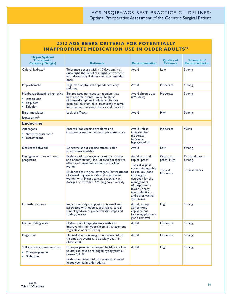| <b>2012 AGS BEERS CRITERIA FOR POTENTIALLY</b><br><b>INAPPROPRIATE MEDICATION USE IN OLDER ADULTS<sup>97</sup></b> |                                                                                                                                                                                                                                                                                                                                       |                                                                                                                                                                                                                                        |                                                 |                                             |
|--------------------------------------------------------------------------------------------------------------------|---------------------------------------------------------------------------------------------------------------------------------------------------------------------------------------------------------------------------------------------------------------------------------------------------------------------------------------|----------------------------------------------------------------------------------------------------------------------------------------------------------------------------------------------------------------------------------------|-------------------------------------------------|---------------------------------------------|
| <b>Organ System/</b><br><b>Therapeutic</b><br>Category/Drug(s)                                                     | <b>Rationale</b>                                                                                                                                                                                                                                                                                                                      | <b>Recommendation</b>                                                                                                                                                                                                                  | <b>Quality of</b><br><b>Evidence</b>            | <b>Strength of</b><br><b>Recommendation</b> |
| Chloral hydrate*                                                                                                   | Tolerance occurs within 10 days and risk<br>outweighs the benefits in light of overdose<br>with doses only 3 times the recommended<br>dose                                                                                                                                                                                            | Avoid                                                                                                                                                                                                                                  | Low                                             | Strong                                      |
| Meprobamate                                                                                                        | High rate of physical dependence; very<br>sedating                                                                                                                                                                                                                                                                                    | Avoid                                                                                                                                                                                                                                  | Moderate                                        | Strong                                      |
| Nonbenzodiazepine hypnotics<br>Eszopiclone<br>Zolpidem<br>• Zaleplon                                               | Benzodiazepine-receptor agonists that<br>have adverse events similar to those<br>of benzodiazepines in older adults (for<br>example, delirium, falls, fractures); minimal<br>improvement in sleep latency and duration                                                                                                                | Avoid chronic use<br>$($ >90 days)                                                                                                                                                                                                     | Moderate                                        | Strong                                      |
| Ergot mesylates*<br>Isoxsuprine*                                                                                   | Lack of efficacy                                                                                                                                                                                                                                                                                                                      | Avoid                                                                                                                                                                                                                                  | High                                            | Strong                                      |
| <b>Endocrine</b>                                                                                                   |                                                                                                                                                                                                                                                                                                                                       |                                                                                                                                                                                                                                        |                                                 |                                             |
| Androgens<br>• Methyltestosterone*<br>• Testosterone                                                               | Potential for cardiac problems and<br>contraindicated in men with prostate cancer                                                                                                                                                                                                                                                     | Avoid unless<br>indicated for<br>moderate<br>to severe<br>hypogonadism                                                                                                                                                                 | Moderate                                        | Weak                                        |
| Desiccated thyroid                                                                                                 | Concerns about cardiac effects: safer<br>alternatives available                                                                                                                                                                                                                                                                       | Avoid                                                                                                                                                                                                                                  | Low                                             | Strong                                      |
| Estrogens with or without<br>progestins                                                                            | Evidence of carcinogenic potential (breast<br>and endometrium); lack of cardioprotective<br>effect and cognitive protection in older<br>women<br>Evidence that vaginal estrogens for treatment<br>of vaginal dryness is safe and effective in<br>women with breast cancer, especially at<br>dosages of estradiol <25 mcg twice weekly | Avoid oral and<br>topical patch<br>Topical vaginal<br>cream: Acceptable<br>to use low-dose<br>intravaginal<br>estrogen for the<br>management<br>of dyspareunia,<br>lower urinary<br>tract infections,<br>and other vaginal<br>symptoms | Oral and<br>patch: High<br>Topical:<br>Moderate | Oral and patch:<br>Strong<br>Topical: Weak  |
| Growth hormone                                                                                                     | Impact on body composition is small and<br>associated with edema, arthralgia, carpal<br>tunnel syndrome, gynecomastia, impaired<br>fasting glucose                                                                                                                                                                                    | Avoid, except<br>as hormone<br>replacement<br>following pituitary<br>gland removal                                                                                                                                                     | High                                            | Strong                                      |
| Insulin, sliding scale                                                                                             | Higher risk of hypoglycemia without<br>improvement in hyperglycemia management<br>regardless of care setting                                                                                                                                                                                                                          | Avoid                                                                                                                                                                                                                                  | Moderate                                        | Strong                                      |
| Megestrol                                                                                                          | Minimal effect on weight; increases risk of<br>thrombotic events and possibly death in<br>older adults                                                                                                                                                                                                                                | Avoid                                                                                                                                                                                                                                  | Moderate                                        | Strong                                      |
| Sulfonylureas, long-duration<br>Chlorpropamide<br>• Glyburide                                                      | Chlorpropamide: Prolonged half-life in older<br>adults; can cause prolonged hypoglycemia;<br>causes SIADH<br>Glyburide: higher risk of severe prolonged<br>hypoglycemia in older adults                                                                                                                                               | Avoid                                                                                                                                                                                                                                  | High                                            | Strong                                      |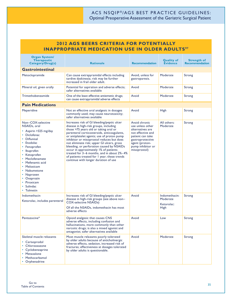| <b>2012 AGS BEERS CRITERIA FOR POTENTIALLY</b><br><b>INAPPROPRIATE MEDICATION USE IN OLDER ADULTS''</b>                                                                                                                                                                                      |                                                                                                                                                                                                                                                                                                                                                                                                                                                                                                                                                   |                                                                                                                                                                           |                                                 |                                             |
|----------------------------------------------------------------------------------------------------------------------------------------------------------------------------------------------------------------------------------------------------------------------------------------------|---------------------------------------------------------------------------------------------------------------------------------------------------------------------------------------------------------------------------------------------------------------------------------------------------------------------------------------------------------------------------------------------------------------------------------------------------------------------------------------------------------------------------------------------------|---------------------------------------------------------------------------------------------------------------------------------------------------------------------------|-------------------------------------------------|---------------------------------------------|
| <b>Organ System/</b><br><b>Therapeutic</b><br>Category/Drug(s)                                                                                                                                                                                                                               | <b>Rationale</b>                                                                                                                                                                                                                                                                                                                                                                                                                                                                                                                                  | <b>Recommendation</b>                                                                                                                                                     | <b>Quality of</b><br><b>Evidence</b>            | <b>Strength of</b><br><b>Recommendation</b> |
| <b>Gastrointestinal</b>                                                                                                                                                                                                                                                                      |                                                                                                                                                                                                                                                                                                                                                                                                                                                                                                                                                   |                                                                                                                                                                           |                                                 |                                             |
| Metoclopramide                                                                                                                                                                                                                                                                               | Can cause extrapyramidal effects including<br>tardive dyskinesia; risk may be further<br>increased in frail older adult.                                                                                                                                                                                                                                                                                                                                                                                                                          | Avoid, unless for<br>gastroparesis.                                                                                                                                       | Moderate                                        | Strong                                      |
| Mineral oil, given orally                                                                                                                                                                                                                                                                    | Potential for aspiration and adverse effects;<br>safer alternatives available                                                                                                                                                                                                                                                                                                                                                                                                                                                                     | Avoid                                                                                                                                                                     | Moderate                                        | Strong                                      |
| Trimethobenzamide                                                                                                                                                                                                                                                                            | One of the least effective antiemetic drugs;<br>can cause extrapyramidal adverse effects                                                                                                                                                                                                                                                                                                                                                                                                                                                          | Avoid                                                                                                                                                                     | Moderate                                        | Strong                                      |
| <b>Pain Medications</b>                                                                                                                                                                                                                                                                      |                                                                                                                                                                                                                                                                                                                                                                                                                                                                                                                                                   |                                                                                                                                                                           |                                                 |                                             |
| Meperidine                                                                                                                                                                                                                                                                                   | Not an effective oral analgesic in dosages<br>commonly used; may cause neurotoxicity;<br>safer alternatives available                                                                                                                                                                                                                                                                                                                                                                                                                             | Avoid                                                                                                                                                                     | High                                            | Strong                                      |
| Non-COX-selective<br>NSAIDs, oral<br>• Aspirin > 325 mg/day<br>• Diclofenac<br>Diflunisal<br>• Etodolac<br>• Fenoprofen<br>• Ibuprofen<br>• Ketoprofen<br>Meclofenamate<br>• Mefenamic acid<br>• Meloxicam<br>Nabumetone<br>• Naproxen<br>• Oxaprozin<br>• Piroxicam<br>Sulindac<br>Tolmetin | Increases risk of GI bleeding/peptic ulcer<br>disease in high-risk groups, including<br>those >75 years old or taking oral or<br>parenteral corticosteroids, anticoagulants,<br>or antiplatelet agents; use of proton pump<br>inhibitor or misoprostol reduces but does<br>not eliminate risk; upper GI ulcers, gross<br>bleeding, or perforation caused by NSAIDs<br>occur in approximately 1% of patients<br>treated for 3-6 months, and in about 2%-4%<br>of patients treated for I year; these trends<br>continue with longer duration of use | Avoid chronic<br>use unless other<br>alternatives are<br>not effective and<br>patient can take<br>gastroprotective<br>agent (proton-<br>pump inhibitor or<br>misoprostol) | All others:<br>Moderate                         | Strong                                      |
| Indomethacin<br>Ketorolac, includes parenteral                                                                                                                                                                                                                                               | Increases risk of GI bleeding/peptic ulcer<br>disease in high-risk groups (see above non-<br><b>COX-selective NSAIDs)</b><br>Of all the NSAIDs, indomethacin has most<br>adverse effects                                                                                                                                                                                                                                                                                                                                                          | Avoid                                                                                                                                                                     | Indomethacin:<br>Moderate<br>Ketorolac:<br>High | Strong                                      |
| Pentazocine*                                                                                                                                                                                                                                                                                 | Opioid analgesic that causes CNS<br>adverse effects, including confusion and<br>hallucinations, more commonly than other<br>narcotic drugs; is also a mixed agonist and<br>antagonist; safer alternatives available                                                                                                                                                                                                                                                                                                                               | Avoid                                                                                                                                                                     | Low                                             | Strong                                      |
| Skeletal muscle relaxants<br>• Carisoprodol<br>• Chlorzoxazone<br>• Cyclobenzaprine<br>• Metaxalone<br>• Methocarbamol<br>• Orphenadrine                                                                                                                                                     | Most muscle relaxants poorly tolerated<br>by older adults because of anticholinergic<br>adverse effects, sedation, increased risk of<br>fractures; effectiveness at dosages tolerated<br>by older adults is questionable.                                                                                                                                                                                                                                                                                                                         | Avoid                                                                                                                                                                     | Moderate                                        | Strong                                      |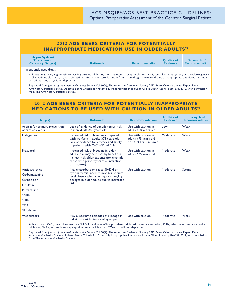### **2012 AGS BEERS CRITERIA FOR POTENTIALLY INAPPROPRIATE MEDICATION USE IN OLDER ADULTS?7**

| <b>Organ System/</b><br><b>Therapeutic</b><br>Category/Drug(s) | <b>Rationale</b> | <b>Recommendation</b> | <b>Quality of</b><br><b>Evidence</b> | <b>Strength of</b><br><b>Recommendation</b> |
|----------------------------------------------------------------|------------------|-----------------------|--------------------------------------|---------------------------------------------|
| *Infrequently used drugs                                       |                  |                       |                                      |                                             |

Abbreviations: ACEI, angiotensin converting-enzyme inhibitors; ARB, angiotensin receptor blockers; CNS, central nervous system; COX, cyclooxygenase; CrCl, creatinine clearance; Gl, gastrointestinal; NSAIDs, nonsteroidal anti-inflammatory drugs; SIADH, syndrome of inappropriate antidiuretic hormone secretion; TCAs, tricyclic antidepressants.

Reprinted from *Journal of the American Geriatrics Society,* Vol 60(4), The American Geriatrics Society 2012 Beers Criteria Update Expert Panel, American Geriatrics Society Updated Beers Criteria for Potentially Inappropriate Medication Use in Older Adults, p616-631, 2012, with permission from The American Geriatrics Society.

### **2012 AGS BEERS CRITERIA FOR POTENTIALLY INAPPROPRIATE MEDICATIONS TO BE USED WITH CAUTION IN OLDER ADULTS97**

| Drug(s)                                             | <b>Rationale</b>                                                                                                                                                                       | <b>Recommendation</b>                                                | <b>Quality of</b><br><b>Evidence</b> | <b>Strength of</b><br><b>Recommendation</b> |
|-----------------------------------------------------|----------------------------------------------------------------------------------------------------------------------------------------------------------------------------------------|----------------------------------------------------------------------|--------------------------------------|---------------------------------------------|
| Aspirin for primary prevention<br>of cardiac events | Lack of evidence of benefit versus risk<br>in individuals ≥80 years old                                                                                                                | Use with caution in<br>adults ≥80 years old                          | Low                                  | Weak                                        |
| Dabigatran                                          | Increased risk of bleeding compared<br>with warfarin in adults ≥75 years old;<br>lack of evidence for efficacy and safety<br>in patients with CrCl <30 mL/min                          | Use with caution in<br>adults ≥75 years old<br>or if CrCl <30 mL/min | Moderate                             | Weak                                        |
| Prasugrel                                           | Increased risk of bleeding in older<br>adults; risk may be offset by benefit in<br>highest-risk older patients (for example,<br>those with prior myocardial infarction<br>or diabetes) | Use with caution in<br>adults $\geq$ 75 years old                    | Moderate                             | Weak                                        |
| Antipsychotics                                      | May exacerbate or cause SIADH or                                                                                                                                                       | Use with caution                                                     | Moderate                             | Strong                                      |
| Carbamazepine                                       | hyponatremia; need to monitor sodium<br>level closely when starting or changing                                                                                                        |                                                                      |                                      |                                             |
| Carboplatin                                         | dosages in older adults due to increased                                                                                                                                               |                                                                      |                                      |                                             |
| Cisplatin                                           | risk                                                                                                                                                                                   |                                                                      |                                      |                                             |
| Mirtazapine                                         |                                                                                                                                                                                        |                                                                      |                                      |                                             |
| <b>SNRIs</b>                                        |                                                                                                                                                                                        |                                                                      |                                      |                                             |
| <b>SSRIs</b>                                        |                                                                                                                                                                                        |                                                                      |                                      |                                             |
| <b>TCAs</b>                                         |                                                                                                                                                                                        |                                                                      |                                      |                                             |
| Vincristine                                         |                                                                                                                                                                                        |                                                                      |                                      |                                             |
| Vasodilators                                        | May exacerbate episodes of syncope in<br>individuals with history of syncope                                                                                                           | Use with caution                                                     | Moderate                             | Weak                                        |

Abbreviations: CrCl, creatinine clearance; SIADH, syndrome of inappropriate antidiuretic hormone secretion; SSRIs, selective serotonin reuptake inhibitors; SNRIs, serotonin–norepinephrine reuptake inhibitors; TCAs, tricyclic antidepressants.

Reprinted from *Journal of the American Geriatrics Society,* Vol 60(4), The American Geriatrics Society 2012 Beers Criteria Update Expert Panel, American Geriatrics Society Updated Beers Criteria for Potentially Inappropriate Medication Use in Older Adults, p616-631, 2012, with permission from The American Geriatrics Society.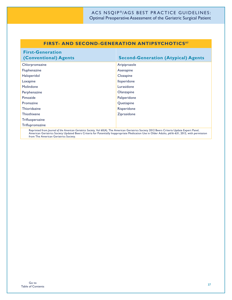| <b>FIRST- AND SECOND-GENERATION ANTIPSYCHOTICS<sup>97</sup></b>                                                                                |                                            |  |  |
|------------------------------------------------------------------------------------------------------------------------------------------------|--------------------------------------------|--|--|
| <b>First-Generation</b><br><b>(Conventional) Agents</b>                                                                                        | <b>Second-Generation (Atypical) Agents</b> |  |  |
| Chlorpromazine                                                                                                                                 | Aripiprazole                               |  |  |
| Fluphenazine                                                                                                                                   | Asenapine                                  |  |  |
| Haloperidol                                                                                                                                    | Clozapine                                  |  |  |
| Loxapine                                                                                                                                       | lloperidone                                |  |  |
| Molindone                                                                                                                                      | Lurasidone                                 |  |  |
| Perphenazine                                                                                                                                   | Olanzapine                                 |  |  |
| Pimozide                                                                                                                                       | Paliperidone                               |  |  |
| Promazine                                                                                                                                      | Quetiapine                                 |  |  |
| Thioridazine                                                                                                                                   | Risperidone                                |  |  |
| Thiothixene                                                                                                                                    | Ziprasidone                                |  |  |
| Trifluoperazine                                                                                                                                |                                            |  |  |
| Triflupromazine                                                                                                                                |                                            |  |  |
| Reprinted from Journal of the American Geriatrics Society, Vol 60(4), The American Geriatrics Society 2012 Beers Criteria Update Expert Panel, |                                            |  |  |

American Geriatrics Society Updated Beers Criteria for Potentially Inappropriate Medication Use in Older Adults, p616-631, 2012, with permission from The American Geriatrics Society.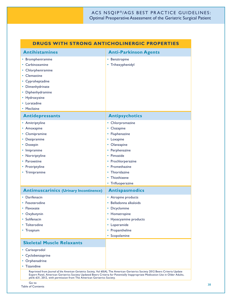| <b>DRUGS WITH STRONG ANTICHOLINERGIC PROPERTIES</b>                                                                                                                                     |                                                                                                                                                                                                                                                                    |  |  |
|-----------------------------------------------------------------------------------------------------------------------------------------------------------------------------------------|--------------------------------------------------------------------------------------------------------------------------------------------------------------------------------------------------------------------------------------------------------------------|--|--|
| <b>Antihistamines</b>                                                                                                                                                                   | <b>Anti-Parkinson Agents</b>                                                                                                                                                                                                                                       |  |  |
| • Brompheniramine<br>• Carbinoxamine<br>• Chlorpheniramine<br>• Clemastine<br>• Cyproheptadine<br>• Dimenhydrinate<br>• Diphenhydramine<br>• Hydroxyzine<br>• Loratadine<br>• Meclizine | • Benztropine<br>• Trihexyphenidyl                                                                                                                                                                                                                                 |  |  |
| <b>Antidepressants</b>                                                                                                                                                                  | <b>Antipsychotics</b>                                                                                                                                                                                                                                              |  |  |
| • Amitriptyline<br>• Amoxapine<br>• Clomipramine<br>• Desipramine<br>• Doxepin<br>• Imipramine<br>• Nortriptyline<br>• Paroxetine<br>• Protriptyline                                    | • Chlorpromazine<br>• Clozapine<br>• Fluphenazine<br>• Loxapine<br>• Olanzapine<br>• Perphenazine<br>• Pimozide<br>• Prochlorperazine<br>Promethazine                                                                                                              |  |  |
| • Trimipramine                                                                                                                                                                          | Thioridazine<br>Thiothixene<br>• Trifluoperazine                                                                                                                                                                                                                   |  |  |
| <b>Antimuscarinics (Urinary Incontinence)</b>                                                                                                                                           | <b>Antispasmodics</b>                                                                                                                                                                                                                                              |  |  |
| • Darifenacin<br>• Fesoterodine<br>Flavoxate<br>• Oxybutynin<br>• Solifenacin<br>• Tolterodine<br>• Trospium                                                                            | • Atropine products<br>· Belladonna alkaloids<br>Dicyclomine<br>• Homatropine<br>• Hyoscyamine products<br>• Loperamide<br>• Propantheline<br>• Scopolamine                                                                                                        |  |  |
| <b>Skeletal Muscle Relaxants</b>                                                                                                                                                        |                                                                                                                                                                                                                                                                    |  |  |
| • Carisoprodol<br>• Cyclobenzaprine<br>• Orphenadrine<br>$\cdot$ Tizanidine                                                                                                             | Reprinted from Journal of the American Geriatrics Society, Vol 60(4), The American Geriatrics Society 2012 Beers Criteria Update<br>Expert Panel, American Geriatrics Society Updated Beers Criteria for Potentially Inappropriate Medication Use in Older Adults, |  |  |
| p616-631, 2012, with permission from The American Geriatrics Society.<br>Go to<br><b>Table of Contents</b>                                                                              |                                                                                                                                                                                                                                                                    |  |  |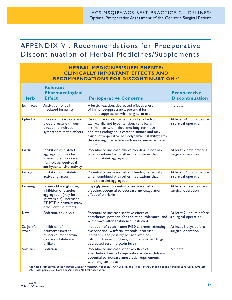# APPENDIX VI. Recommendations for Preoperative Discontinuation of Herbal Medicines/Supplements

### **HERBAL MEDICINES/SUPPLEMENTS: CLINICALLY IMPORTANT EFFECTS AND RECOMMENDATIONS FOR DISCONTINUATION127**

| <b>Herb</b>        | <b>Relevant</b><br>Pharmacological<br><b>Effect</b>                                                                                                                                                               | <b>Perioperative Concerns</b>                                                                                                                                                                                                                                                                              | <b>Preoperative</b><br><b>Discontinuation</b>    |  |
|--------------------|-------------------------------------------------------------------------------------------------------------------------------------------------------------------------------------------------------------------|------------------------------------------------------------------------------------------------------------------------------------------------------------------------------------------------------------------------------------------------------------------------------------------------------------|--------------------------------------------------|--|
| Echinacea          | Activation of cell-<br>mediated immunity                                                                                                                                                                          | Allergic reaction; decreased effectiveness<br>of immunosuppressants; potential for<br>immunosuppression with long-term use                                                                                                                                                                                 | No data                                          |  |
| Ephedra            | Increased heart rate and<br>blood pressure through<br>direct and indirect<br>sympathomimetic effects                                                                                                              | Risk of myocardial ischemia and stroke from<br>tachycardia and hypertension; ventricular<br>arrhythmias with halothane; long-term use<br>depletes endogenous catecholamines and may<br>cause intraoperative hemodynamic instability; life-<br>threatening interaction with monoamine oxidase<br>inhibitors | At least 24 hours before<br>a surgical operation |  |
| Garlic             | Inhibition of platelet<br>aggregation (may be<br>irreversible); increased<br>fibrinolysis; equivocal<br>antihypertensive activity                                                                                 | Potential to increase risk of bleeding, especially<br>when combined with other medications that<br>inhibit platelet aggregation                                                                                                                                                                            | At least 7 days before a<br>surgical operation   |  |
| Ginkgo             | Inhibition of platelet-<br>activating factor                                                                                                                                                                      | Potential to increase risk of bleeding, especially<br>when combined with other medications that<br>inhibit platelet aggregation                                                                                                                                                                            | At least 36 hours before<br>a surgical operation |  |
| Ginseng            | Lowers blood glucose;<br>inhibition of platelet<br>aggregation (may be<br>irreversible); increased<br>PT-PTT in animals; many<br>other diverse effects                                                            | Hypoglycemia; potential to increase risk of<br>bleeding; potential to decrease anticoagulation<br>effect of warfarin                                                                                                                                                                                       | At least 7 days before a<br>surgical operation   |  |
| Kava               | Sedation, anxiolysis                                                                                                                                                                                              | Potential to increase sedative effect of<br>anesthetics; potential for addiction, tolerance, and<br>withdrawal after abstinence unstudied                                                                                                                                                                  | At least 24 hours before<br>a surgical operation |  |
| St. John's<br>wort | Inhibition of<br>neurotransmitter<br>reuptake, monoamine<br>oxidase inhibition is<br>unlikely                                                                                                                     | Induction of cytochrome P450 enzymes, affecting<br>cyclosporine, warfarin, steroids, protease<br>inhibitors, and possibly benzodiazepines,<br>calcium channel blockers, and many other drugs;<br>decreased serum digoxin levels                                                                            | At least 5 days before a<br>surgical operation   |  |
| Valerian           | Sedation                                                                                                                                                                                                          | Potential to increase sedative effect of<br>anesthetics; benzodiazepine-like acute withdrawal;<br>potential to increase anesthetic requirements<br>with long-term use                                                                                                                                      | No data                                          |  |
|                    | Reprinted from Journal of the American Medical Association, Vol 286(2), Ang-Lee MK and Moss J. Herbal Medicines and Perioperative Care, p208-216,<br>2001, with permission from The American Medical Association. |                                                                                                                                                                                                                                                                                                            |                                                  |  |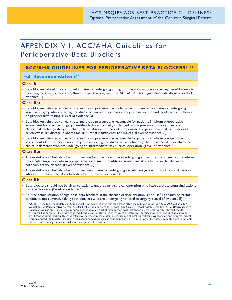# APPENDIX VII. ACC/AHA Guidelines for Perioperative Beta Blockers

### **ACC/AHA GUIDELINES FOR PERIOPERATIVE BETA BLOCKERS21,52**

### **Full Recommendations52**

#### **Class I:**

 Beta blockers should be continued in patients undergoing a surgical operation who are receiving beta-blockers to treat angina, symptomatic arrhythmias, hypertension, or other ACC/AHA Class I guideline indications. (Level of evidence C)

#### **Class IIa:**

- Beta blockers titrated to heart rate and blood pressure are probably recommended for patients undergoing vascular surgery who are at high cardiac risk owing to coronary artery disease or the finding of cardiac ischemia on preoperative testing. (Level of evidence B)
- Beta blockers titrated to heart rate and blood pressure are reasonable for patients in whom preoperative assessment for vascular surgery identifies high cardiac risk, as defined by the presence of more than one clinical risk factor (history of ischemic heart disease, history of compensated or prior heart failure, history of cerebrovascular disease, diabetes mellitus, renal insufficiency (>2 mg/dL). (Level of evidence C)
- Beta blockers titrated to heart rate and blood pressure are reasonable for patients in whom preoperative assessment identifies coronary artery disease or high cardiac risk, as defined by the presence of more than one clinical risk factor, who are undergoing an intermediate-risk surgical operation. (Level of evidence B)

#### **Class IIb:**

- The usefulness of beta-blockers is uncertain for patients who are undergoing either intermediate-risk procedures or vascular surgery in whom preoperative assessment identifies a single clinical risk factor in the absence of coronary artery disease. (Level of evidence C)
- The usefulness of beta-blockers is uncertain in patients undergoing vascular surgery with no clinical risk factors who are not currently taking beta-blockers. (Level of evidence B)

#### **Class III:**

- Beta-blockers should not be given to patients undergoing a surgical operation who have absolute contraindications to beta-blockers. (Level of evidence C)
- Routine administration of high-dose beta-blockers in the absence of dose titration is not useful and may be harmful to patients not currently taking beta-blockers who are undergoing noncardiac surgery. (Level of evidence B)

NOTE: These focused updates in 2009 reflect new evidence that was elucidated after the publication of the "2007 ACC/AHA 2007 Guidelines on Perioperative Cardiovascular Evaluation and Care for Noncardiac Surgery." Most notable was the POISE (PeriOperative ISchemic Evaluation) trial, a large, randomized-controlled trial of fixed higher dose, extended-release metoprolol started the day of noncardiac surgery. This study confirmed reductions in the rates of myocardial infarction, cardiac revascularization, and clinically significant atrial fibrillation; this was offset by increased rates of death, stroke, and clinically significant hypotension and bradycardia.50 This prompted the updates, including the recommendation against routine preoperative initiation of high-dose beta blockers in patients not currently taking them, especially in the absence of titration.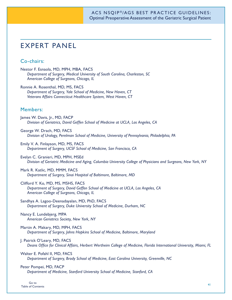# EXPERT PANEL

## Co-chairs:

Nestor F. Esnaola, MD, MPH, MBA, FACS *Department of Surgery, Medical University of South Carolina, Charleston, SC American College of Surgeons, Chicago, IL*

Ronnie A. Rosenthal, MD, MS, FACS *Department of Surgery, Yale School of Medicine, New Haven, CT Veterans Affairs Connecticut Healthcare System, West Haven, CT*

### Members:

James W. Davis, Jr., MD, FACP *Division of Geriatrics, David Geffen School of Medicine at UCLA, Los Angeles, CA*

George W. Drach, MD, FACS *Division of Urology, Perelman School of Medicine, University of Pennsylvania, Philadelphia, PA*

Emily V. A. Finlayson, MD, MS, FACS *Department of Surgery, UCSF School of Medicine, San Francisco, CA*

Evelyn C. Granieri, MD, MPH, MSEd *Division of Geriatric Medicine and Aging, Columbia University College of Physicians and Surgeons, New York, NY*

Mark R. Katlic, MD, MMM, FACS *Department of Surgery, Sinai Hospital of Baltimore, Baltimore, MD*

Clifford Y. Ko, MD, MS, MSHS, FACS *Department of Surgery, David Geffen School of Medicine at UCLA, Los Angeles, CA American College of Surgeons, Chicago, IL*

Sandhya A. Lagoo-Deenadayalan, MD, PhD, FACS *Department of Surgery, Duke University School of Medicine, Durham, NC*

Nancy E. Lundebjerg, MPA *American Geriatrics Society, New York, NY*

Martin A. Makary, MD, MPH, FACS *Department of Surgery, Johns Hopkins School of Medicine, Baltimore, Maryland*

J. Patrick O'Leary, MD, FACS Deans Office for Clinical Affairs, Herbert Wertheim College of Medicine, Florida International University, Miami, FL

Walter E. Pofahl II, MD, FACS *Department of Surgery, Brody School of Medicine, East Carolina University, Greenville, NC*

#### Peter Pompei, MD, FACP

*Department of Medicine, Stanford University School of Medicine, Stanford, CA*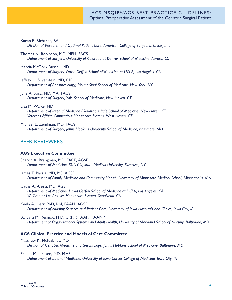Karen E. Richards, BA *Division of Research and Optimal Patient Care, American College of Surgeons, Chicago, IL*

Thomas N. Robinson, MD, MPH, FACS *Department of Surgery, University of Colorado at Denver School of Medicine, Aurora, CO*

Marcia McGory Russell, MD *Department of Surgery, David Geffen School of Medicine at UCLA, Los Angeles, CA*

Jeffrey H. Silverstein, MD, CIP *Department of Anesthesiology, Mount Sinai School of Medicine, New York, NY*

Julie A. Sosa, MD, MA, FACS *Department of Surgery, Yale School of Medicine, New Haven, CT*

Lisa M. Walke, MD *Department of Internal Medicine (Geriatrics), Yale School of Medicine, New Haven, CT Veterans Affairs Connecticut Healthcare System, West Haven, CT*

Michael E. Zenilman, MD, FACS *Department of Surgery, Johns Hopkins University School of Medicine, Baltimore, MD*

### PEER REVIEWERS

#### **AGS Executive Committee**

Sharon A. Brangman, MD, FACP, AGSF *Department of Medicine, SUNY Upstate Medical University, Syracuse, NY*

James T. Pacala, MD, MS, AGSF *Department of Family Medicine and Community Health, University of Minnesota Medical School, Minneapolis, MN*

Cathy A. Alessi, MD, AGSF *Department of Medicine, David Geffen School of Medicine at UCLA, Los Angeles, CA VA Greater Los Angeles Healthcare System, Sepulveda, CA*

Keela A. Herr, PhD, RN, FAAN, AGSF *Department of Nursing Services and Patient Care, University of Iowa Hospitals and Clinics, Iowa City, IA*

Barbara M. Resnick, PhD, CRNP, FAAN, FAANP *Department of Organizational Systems and Adult Health, University of Maryland School of Nursing, Baltimore, MD*

### **AGS Clinical Practice and Models of Care Committee**

Matthew K. McNabney, MD *Division of Geriatric Medicine and Gerontology, Johns Hopkins School of Medicine, Baltimore, MD*

Paul L. Mulhausen, MD, MHS

*Department of Internal Medicine, University of Iowa Carver College of Medicine, Iowa City, IA*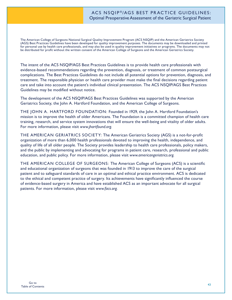The American College of Surgeons National Surgical Quality Improvement Program (ACS NSQIP) and the American Geriatrics Society (AGS) Best Practices Guidelines have been developed for quality improvement purposes. The documents may be downloaded and printed for personal use by health care professionals, and may also be used in quality improvement initiatives or programs. The documents may not be distributed for profit without the written consent of the American College of Surgeons and the American Geriatrics Society.

The intent of the ACS NSQIP/AGS Best Practices Guidelines is to provide health care professionals with evidence-based recommendations regarding the prevention, diagnosis, or treatment of common postsurgical complications. The Best Practices Guidelines do not include all potential options for prevention, diagnosis, and treatment. The responsible physician or health care provider must make the final decisions regarding patient care and take into account the patient's individual clinical presentation. The ACS NSQIP/AGS Best Practices Guidelines may be modified without notice.

The development of the ACS NSQIP/AGS Best Practices Guidelines was supported by the American Geriatrics Society, the John A. Hartford Foundation, and the American College of Surgeons.

THE JOHN A. HARTFORD FOUNDATION: Founded in 1929, the John A. Hartford Foundation's mission is to improve the health of older Americans. The Foundation is a committed champion of health care training, research, and service system innovations that will ensure the well-being and vitality of older adults. For more information, please visit *www.jhartfound.org.*

THE AMERICAN GERIATRICS SOCIETY: The American Geriatrics Society (AGS) is a not-for-profit organization of more than 6,000 health professionals devoted to improving the health, independence, and quality of life of all older people. The Society provides leadership to health care professionals, policy makers, and the public by implementing and advocating for programs in patient care, research, professional and public education, and public policy. For more information, please visit *www.americangeriatrics.org.*

THE AMERICAN COLLEGE OF SURGEONS: The American College of Surgeons (ACS) is a scientific and educational organization of surgeons that was founded in 1913 to improve the care of the surgical patient and to safeguard standards of care in an optimal and ethical practice environment. ACS is dedicated to the ethical and competent practice of surgery. Its achievements have significantly influenced the course of evidence-based surgery in America and have established ACS as an important advocate for all surgical patients. For more information, please visit *www.facs.org.*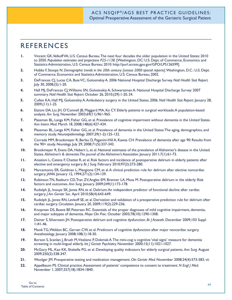# **REFERENCES**

- **1.** Vincent GK, Velkoff VA, U.S. Census Bureau. The next four decades the older population in the United States: 2010 to 2050. *Population estimates and projections P25-1138*. [Washington, DC: U.S. Dept. of Commerce, Economics and Statistics Administration, U.S. Census Bureau; 2010: http://purl.access.gpo.gov/GPO/LPS126599].
- **2.** Hobbs F, Stoops N. *Demographic trends in the 20th century: [census 2000 special reports]*. Washington, D.C.: U.S. Dept. of Commerce, Economics and Statistics Administration, U.S. Census Bureau; 2002.
- **3.** DeFrances CJ, Lucas CA, Buie VC, Golosinskiy A. 2006 National Hospital Discharge Survey. *Natl Health Stat Report.*  July 30, 2008;(5):1-20.
- **4.** Hall MJ, DeFrances CJ, Williams SN, Golosinskiy A, Schwartzman A. National Hospital Discharge Survey: 2007 summary. *Natl Health Stat Report.* October 26, 2010;(29):1-20, 24.
- **5.** Cullen KA, Hall MJ, Golosinskiy A. Ambulatory surgery in the United States, 2006. *Natl Health Stat Report.* January 28, 2009;(11):1-25.
- **6.** Etzioni DA, Liu JH, O'Connell JB, Maggard MA, Ko CY. Elderly patients in surgical workloads: A population-based analysis. *Am Surg.* November 2003;69(11):961-965.
- **7.** Plassman BL, Langa KM, Fisher GG, et al. Prevalence of cognitive impairment without dementia in the United States. *Ann Intern Med.* March 18, 2008;148(6):427-434.
- **8.** Plassman BL, Langa KM, Fisher GG, et al. Prevalence of dementia in the United States: The aging, demographics, and memory study. *Neuroepidemiology.* 2007;29(1-2):125-132.
- **9.** Corrada MM, Brookmeyer R, Berlau D, Paganini-Hill A, Kawas CH. Prevalence of dementia after age 90: Results from the 90+ study. *Neurology.* July 29, 2008;71(5):337-343.
- **10.** Brookmeyer R, Evans DA, Hebert L, et al. National estimates of the prevalence of Alzheimer's disease in the United States. Alzheimer's & dementia: The journal of the Alzheimer's Association. January 2011;7(1):61-73.
- **11.** Ansaloni L, Catena F, Chattat R, et al. Risk factors and incidence of postoperative delirium in elderly patients after elective and emergency surgery. *Br J Surg.* February 2010;97(2):273-280.
- **12.** Marcantonio ER, Goldman L, Mangione CM, et al. A clinical prediction rule for delirium after elective noncardiac surgery. *JAMA.* January 12, 1994;271(2):134-139.
- **13.** Robinson TN, Raeburn CD, Tran ZV, Angles EM, Brenner LA, Moss M. Postoperative delirium in the elderly: Risk factors and outcomes. *Ann Surg.* January 2009;249(1):173-178.
- **14.** Rudolph JL, Inouye SK, Jones RN, et al. Delirium: An independent predictor of functional decline after cardiac surgery. *J Am Geriatr Soc.* April 2010;58(4):643-649.
- **15.** Rudolph JL, Jones RN, Levkoff SE, et al. Derivation and validation of a preoperative prediction rule for delirium after cardiac surgery. *Circulation.* January 20, 2009;119(2):229-236.
- **16.** Knopman DS, Boeve BF, Petersen RC. Essentials of the proper diagnoses of mild cognitive impairment, dementia, and major subtypes of dementia. *Mayo Clin Proc.* October 2003;78(10):1290-1308.
- **17.** Deiner S, Silverstein JH. Postoperative delirium and cognitive dysfunction. *Br J Anaesth.* December 2009;103 Suppl 1:i41-46.
- **18.** Monk TG, Weldon BC, Garvan CW, et al. Predictors of cognitive dysfunction after major noncardiac surgery. *Anesthesiology.* January 2008;108(1):18-30.
- **19.** Borson S, Scanlan J, Brush M, Vitaliano P, Dokmak A. The mini-cog: a cognitive 'vital signs' measure for dementia screening in multi-lingual elderly. *Int J Geriatr Psychiatry.* November 2000;15(11):1021-1027.
- **20.** McGory ML, Kao KK, Shekelle PG, et al. Developing quality indicators for elderly surgical patients. *Ann Surg.* August 2009;250(2):338-347.
- **21.** Woolger JM. Preoperative testing and medication management. *Clin Geriatr Med.* November 2008;24(4):573-583, vii.
- **22.** Appelbaum PS. Clinical practice. Assessment of patients' competence to consent to treatment. *N Engl J Med.*  November 1, 2007;357(18):1834-1840.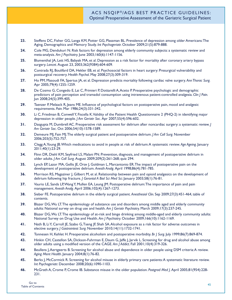- **23.** Steffens DC, Fisher GG, Langa KM, Potter GG, Plassman BL. Prevalence of depression among older Americans: The Aging, Demographics and Memory Study. *Int Psychogeriatr.* October 2009;21(5):879-888.
- **24.** Cole MG, Dendukuri N. Risk factors for depression among elderly community subjects: a systematic review and meta-analysis. *Am J Psychiatry.* June 2003;160(6):1147-1156.
- **25.** Blumenthal JA, Lett HS, Babyak MA, et al. Depression as a risk factor for mortality after coronary artery bypass surgery. *Lancet.* August 23, 2003;362(9384):604-609.
- **26.** Contrada RJ, Boulifard DA, Hekler EB, et al. Psychosocial factors in heart surgery: Presurgical vulnerability and postsurgical recovery. *Health Psychol.* May 2008;27(3):309-319.
- **27.** Ho PM, Masoudi FA, Spertus JA, et al. Depression predicts mortality following cardiac valve surgery. *Ann Thorac Surg.*  Apr 2005;79(4):1255-1259.
- **28.** De Cosmo G, Congedo E, Lai C, Primieri P, Dottarelli A, Aceto P. Preoperative psychologic and demographic predictors of pain perception and tramadol consumption using intravenous patient-controlled analgesia. *Clin J Pain.*  Jun 2008;24(5):399-405.
- **29.** aenzer P, Melzack R, Jeans ME. Influence of psychological factors on postoperative pain, mood and analgesic requirements. *Pain.* Mar 1986;24(3):331-342.
- **30.** Li C, Friedman B, Conwell Y, Fiscella K. Validity of the Patient Health Questionnaire 2 (PHQ-2) in identifying major depression in older people. *J Am Geriatr Soc.* Apr 2007;55(4):596-602.
- **31.** Dasgupta M, Dumbrell AC. Preoperative risk assessment for delirium after noncardiac surgery: a systematic review. *J Am Geriatr Soc.* Oct 2006;54(10):1578-1589.
- **32.** Demeure MJ, Fain MJ. The elderly surgical patient and postoperative delirium. *J Am Coll Surg.* November 2006;203(5):752-757.
- **33.** Clegg A, Young JB. Which medications to avoid in people at risk of delirium: A systematic review. *Age Ageing.* January 2011;40(1):23-29.
- **34.** Flinn DR, Diehl KM, Seyfried LS, Malani PN. Prevention, diagnosis, and management of postoperative delirium in older adults. *J Am Coll Surg.* August 2009;209(2):261-268; quiz 294.
- **35.** Lynch EP, Lazor MA, Gellis JE, Orav J, Goldman L, Marcantonio ER. The impact of postoperative pain on the development of postoperative delirium. *Anesth Analg.* April 1998;86(4):781-785.
- **36.** Morrison RS, Magaziner J, Gilbert M, et al. Relationship between pain and opioid analgesics on the development of delirium following hip fracture. *J Gerontol A Biol Sci Med Sci.* January 2003;58(1):76-81.
- **37.** Vaurio LE, Sands LP, Wang Y, Mullen EA, Leung JM. Postoperative delirium: The importance of pain and pain management. *Anesth Analg.* April 2006;102(4):1267-1273.
- **38.** Sieber FE. Postoperative delirium in the elderly surgical patient. *Anesthesiol Clin.* Sep 2009;27(3):451-464, table of contents.
- **39.** Blazer DG, Wu LT. The epidemiology of substance use and disorders among middle aged and elderly community adults: National survey on drug use and health. *Am J Geriatr Psychiatry.* March 2009;17(3):237-245.
- **40.** Blazer DG, Wu LT. The epidemiology of at-risk and binge drinking among middle-aged and elderly community adults: National Survey on Drug Use and Health. *Am J Psychiatry.* October 2009;166(10):1162-1169.
- **41.** Nath B, Li Y, Carroll JE, Szabo G, Tseng JF, Shah SA. Alcohol exposure as a risk factor for adverse outcomes in elective surgery. *J Gastrointest Surg.* November 2010;14(11):1732-1741.
- **42.** Tonnesen H, Kehlet H. Preoperative alcoholism and postoperative morbidity. *Br J Surg.* July 1999;86(7):869-874.
- **43.** Hinkin CH, Castellon SA, Dickson-Fuhrman E, Daum G, Jaffe J, Jarvik L. Screening for drug and alcohol abuse among older adults using a modified version of the CAGE. A*m J* Addict. Fall 2001;10(4):319-326.
- **44.** Beullens J, Aertgeerts B. Screening for alcohol abuse and dependence in older people using DSM criteria: A review. *Aging Ment Health.* January 2004;8(1):76-82.
- **45.** Berks J, McCormick R. Screening for alcohol misuse in elderly primary care patients: A systematic literature review. *Int Psychogeriatr.* December 2008;20(6):1090-1103.
- **46.** McGrath A, Crome P, Crome IB. Substance misuse in the older population. *Postgrad Med J.* April 2005;81(954):228- 231.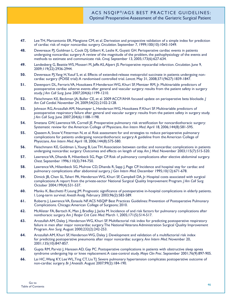- **47.** Lee TH, Marcantonio ER, Mangione CM, et al. Derivation and prospective validation of a simple index for prediction of cardiac risk of major noncardiac surgery. *Circulation.* September 7, 1999;100(10):1043-1049.
- **48.** Devereaux PJ, Goldman L, Cook DJ, Gilbert K, Leslie K, Guyatt GH. Perioperative cardiac events in patients undergoing noncardiac surgery: A review of the magnitude of the problem, the pathophysiology of the events and methods to estimate and communicate risk. *Cmaj.* September 13, 2005;173(6):627-634.
- **49.** Landesberg G, Beattie WS, Mosseri M, Jaffe AS, Alpert JS. Perioperative myocardial infarction. *Circulation.* June 9, 2009;119(22):2936-2944.
- **50.** Devereaux PJ, Yang H, Yusuf S, et al. Effects of extended-release metoprolol succinate in patients undergoing noncardiac surgery (POISE trial): A randomised controlled trial. *Lancet.* May 31, 2008;371(9627):1839-1847.
- **51.** Davenport DL, Ferraris VA, Hosokawa P, Henderson WG, Khuri SF, Mentzer RM, Jr. Multivariable predictors of postoperative cardiac adverse events after general and vascular surgery: results from the patient safety in surgery study. *J Am Coll Surg.* June 2007;204(6):1199-1210.
- **52.** Fleischmann KE, Beckman JA, Buller CE, et al. 2009 ACCF/AHA focused update on perioperative beta blockade. *J Am Coll Cardiol.* November 24, 2009;54(22):2102-2128.
- **53.** Johnson RG, Arozullah AM, Neumayer L, Henderson WG, Hosokawa P, Khuri SF. Multivariable predictors of postoperative respiratory failure after general and vascular surgery: results from the patient safety in surgery study. *J Am Coll Surg.* June 2007;204(6):1188-1198.
- **54.** Smetana GW, Lawrence VA, Cornell JE. Preoperative pulmonary risk stratification for noncardiothoracic surgery: Systematic review for the American College of Physicians. *Ann Intern Med.* April 18, 2006;144(8):581-595.
- **55.** Qaseem A, Snow V, Fitterman N, et al. Risk assessment for and strategies to reduce perioperative pulmonary complications for patients undergoing noncardiothoracic surgery: A guideline from the American College of Physicians. *Ann Intern Med.* April 18, 2006;144(8):575-580.
- **56.** Fleischmann KE, Goldman L, Young B, Lee TH. Association between cardiac and noncardiac complications in patients undergoing noncardiac surgery: Outcomes and effects on length of stay. *Am J Med.* November 2003;115(7):515-520.
- **57.** Lawrence VA, Dhanda R, Hilsenbeck SG, Page CP. Risk of pulmonary complications after elective abdominal surgery. *Chest.* September 1996;110(3):744-750.
- **58.** Lawrence VA, Hilsenbeck SG, Mulrow CD, Dhanda R, Sapp J, Page CP. Incidence and hospital stay for cardiac and pulmonary complications after abdominal surgery. *J Gen Intern Med.* December 1995;10(12):671-678.
- **59.** Dimick JB, Chen SL, Taheri PA, Henderson WG, Khuri SF, Campbell DA, Jr. Hospital costs associated with surgical complications: A report from the private-sector National Surgical Quality Improvement Program. *J Am Coll Surg.*  October 2004;199(4):531-537.
- **60.** Manku K, Bacchetti P, Leung JM. Prognostic significance of postoperative in-hospital complications in elderly patients. I. Long-term survival. *Anesth Analg.* February 2003;96(2):583-589.
- **61.** Roberts J, Lawrence VA, Esnaola NF. ACS NSQIP Best Practices Guidelines: Prevention of Postoperative Pulmonary Complications. Chicago: American College of Surgeons; 2010.
- **62.** McAlister FA, Bertsch K, Man J, Bradley J, Jacka M. Incidence of and risk factors for pulmonary complications after nonthoracic surgery. *Am J Respir Crit Care Med.* March 1, 2005;171(5):514-517.
- **63.** Arozullah AM, Daley J, Henderson WG, Khuri SF. Multifactorial risk index for predicting postoperative respiratory failure in men after major noncardiac surgery. The National Veterans Administration Surgical Quality Improvement Program. *Ann Surg.* August 2000;232(2):242-253.
- **64.** Arozullah AM, Khuri SF, Henderson WG, Daley J. Development and validation of a multifactorial risk index for predicting postoperative pneumonia after major noncardiac surgery. *Ann Intern Med.* November 20, 2001;135(10):847-857.
- **65.** Gupta RM, Parvizi J, Hanssen AD, Gay PC. Postoperative complications in patients with obstructive sleep apnea syndrome undergoing hip or knee replacement: A case-control study. *Mayo Clin Proc.* September 2001;76(9):897-905.
- **66.** Lai HC, Wang KY, Lee WL, Ting CT, Liu TJ. Severe pulmonary hypertension complicates postoperative outcome of non-cardiac surgery. *Br J Anaesth.* August 2007;99(2):184-190.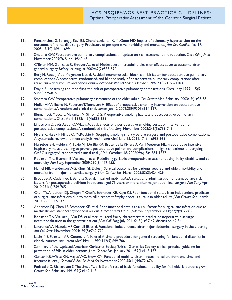- **67.** Ramakrishna G, Sprung J, Ravi BS, Chandrasekaran K, McGoon MD. Impact of pulmonary hypertension on the outcomes of noncardiac surgery: Predictors of perioperative morbidity and mortality. *J Am Coll Cardiol.* May 17, 2005;45(10):1691-1699.
- **68.** Smetana GW. Postoperative pulmonary complications: an update on risk assessment and reduction. *Cleve Clin J Med.*  November 2009;76 Suppl 4:S60-65.
- **69.** O'Brien MM, Gonzales R, Shroyer AL, et al. Modest serum creatinine elevation affects adverse outcome after general surgery. *Kidney Int.* August 2002;62(2):585-592.
- **70.** Berg H, Roed J, Viby-Mogensen J, et al. Residual neuromuscular block is a risk factor for postoperative pulmonary complications. A prospective, randomised, and blinded study of postoperative pulmonary complications after atracurium, vecuronium and pancuronium. *Acta Anaesthesiol Scand.* October 1997;41(9):1095-1103.
- **71.** Doyle RL. Assessing and modifying the risk of postoperative pulmonary complications. *Chest.* May 1999;115(5 Suppl):77S-81S.
- **72.** Smetana GW. Preoperative pulmonary assessment of the older adult. *Clin Geriatr Med.* February 2003;19(1):35-55.
- **73.** Moller AM, Villebro N, Pedersen T, Tonnesen H. Effect of preoperative smoking intervention on postoperative complications: A randomised clinical trial. *Lancet.* Jan 12 2002;359(9301):114-117.
- **74.** Bluman LG, Mosca L, Newman N, Simon DG. Preoperative smoking habits and postoperative pulmonary complications. *Chest.* April 1998;113(4):883-889.
- **75.** Lindstrom D, Sadr Azodi O, Wladis A, et al. Effects of a perioperative smoking cessation intervention on postoperative complications: A randomized trial. *Ann Surg.* November 2008;248(5):739-745.
- **76.** Myers K, Hajek P, Hinds C, McRobbie H. Stopping smoking shortly before surgery and postoperative complications: A systematic review and meta-analysis. *Arch Intern Med.* June 13, 2011;171(11):983-989.
- **77.** Hulzebos EH, Helders PJ, Favie NJ, De Bie RA, Brutel de la Riviere A, Van Meeteren NL. Preoperative intensive inspiratory muscle training to prevent postoperative pulmonary complications in high-risk patients undergoing CABG surgery: A randomized clinical trial. *JAMA.* October 18, 2006;296(15):1851-1857.
- **78.** Robinson TN, Eiseman B, Wallace JI, et al. Redefining geriatric preoperative assessment using frailty, disability and comorbidity. *Ann Surg.* September 2009;250(3):449-455.
- **79.** Hamel MB, Henderson WG, Khuri SF, Daley J. Surgical outcomes for patients aged 80 and older: morbidity and mortality from major noncardiac surgery. *J Am Geriatr Soc.* March 2005;53(3):424-429.
- **80.** Brouquet A, Cudennec T, Benoist S, et al. Impaired mobility, ASA status and administration of tramadol are risk factors for postoperative delirium in patients aged 75 years or more after major abdominal surgery. *Ann Surg.* April 2010;251(4):759-765.
- **81.** Chen TY, Anderson DJ, Chopra T, Choi Y, Schmader KE, Kaye KS. Poor functional status is an independent predictor of surgical site infections due to methicillin-resistant Staphylococcus aureus in older adults. *J Am Geriatr Soc.* March 2010;58(3):527-532.
- **82.** Anderson DJ, Chen LF, Schmader KE, et al. Poor functional status as a risk factor for surgical site infection due to methicillin-resistant Staphylococcus aureus. *Infect Control Hosp Epidemiol.* September 2008;29(9):832-839.
- **83.** Robinson TN, Wallace JI, Wu DS, et al. Accumulated frailty characteristics predict postoperative discharge institutionalization in the geriatric patient. *J Am Coll Surg.* July 2011;213(1):37-42; discussion 42-34.
- **84.** Lawrence VA, Hazuda HP, Cornell JE, et al. Functional independence after major abdominal surgery in the elderly. *J Am Coll Surg.* November 2004;199(5):762-772.
- **85.** Lachs MS, Feinstein AR, Cooney LM, Jr., et al. A simple procedure for general screening for functional disability in elderly patients. *Ann Intern Med.* May 1 1990;112(9):699-706.
- **86.** Summary of the Updated American Geriatrics Society/British Geriatrics Society clinical practice guideline for prevention of falls in older persons. *J Am Geriatr Soc.* January 2011;59(1):148-157.
- **87.** Gunter KB, White KN, Hayes WC, Snow CM. Functional mobility discriminates nonfallers from one-time and frequent fallers. *J Gerontol A Biol Sci Med Sci.* November 2000;55(11):M672-676.
- **88.** Podsiadlo D, Richardson S. The timed "Up & Go": A test of basic functional mobility for frail elderly persons. *J Am Geriatr Soc.* February 1991;39(2):142-148.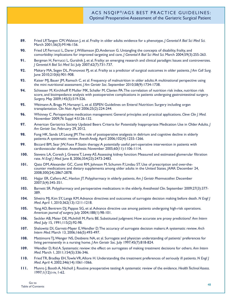- **89.** Fried LP, Tangen CM, Walston J, et al. Frailty in older adults: evidence for a phenotype. *J Gerontol A Biol Sci Med Sci.*  March 2001;56(3):M146-156.
- **90.** Fried LP, Ferrucci L, Darer J, Williamson JD, Anderson G. Untangling the concepts of disability, frailty, and comorbidity: implications for improved targeting and care. *J Gerontol A Biol Sci Med Sci.* March 2004;59(3):255-263.
- **91.** Bergman H, Ferrucci L, Guralnik J, et al. Frailty: an emerging research and clinical paradigm: Issues and controversies. *J Gerontol A Biol Sci Med Sci.* July 2007;62(7):731-737.
- **92.** Makary MA, Segev DL, Pronovost PJ, et al. Frailty as a predictor of surgical outcomes in older patients. *J Am Coll Surg.*  June 2010;210(6):901-908.
- **93.** Kaiser MJ, Bauer JM, Ramsch C, et al. Frequency of malnutrition in older adults: A multinational perspective using the mini nutritional assessment. *J Am Geriatr Soc.* September 2010;58(9):1734-1738.
- **94.** Schiesser M, Kirchhoff P, Muller MK, Schafer M, Clavien PA. The correlation of nutrition risk index, nutrition risk score, and bioimpedance analysis with postoperative complications in patients undergoing gastrointestinal surgery. *Surgery.* May 2009;145(5):519-526.
- **95.** Weimann A, Braga M, Harsanyi L, et al. ESPEN Guidelines on Enteral Nutrition: Surgery including organ transplantation. *Clin Nutr.* April 2006;25(2):224-244.
- **96.** Whinney C. Perioperative medication management: General principles and practical applications. *Cleve Clin J Med.*  November 2009;76 Suppl 4:S126-132.
- **97.** American Geriatrics Society Updated Beers Criteria for Potentially Inappropriate Medication Use in Older Adults. *J Am Geriatr Soc.* February 29, 2012.
- **98.** Fong HK, Sands LP, Leung JM. The role of postoperative analgesia in delirium and cognitive decline in elderly patients: A systematic review. *Anesth Analg.* April 2006;102(4):1255-1266.
- **99.** Biccard BM, Sear JW, Foex P. Statin therapy: A potentially useful peri-operative intervention in patients with cardiovascular disease. *Anaesthesia.* November 2005;60(11):1106-1114.
- **100.** Stevens LA, Coresh J, Greene T, Levey AS. Assessing kidney function: Measured and estimated glomerular filtration rate. *N Engl J Med.* June 8, 2006;354(23):2473-2483.
- **101.** Qato DM, Alexander GC, Conti RM, Johnson M, Schumm P, Lindau ST. Use of prescription and over-thecounter medications and dietary supplements among older adults in the United States. *JAMA.* December 24, 2008;300(24):2867-2878.
- **102.** Hajjar ER, Cafiero AC, Hanlon JT. Polypharmacy in elderly patients. Am J Geriatr Pharmacother. December 2007;5(4):345-351.
- **103.** Barnett SR. Polypharmacy and perioperative medications in the elderly. *Anesthesiol Clin.* September 2009;27(3):377- 389.
- **104.** Silveira MJ, Kim SY, Langa KM. Advance directives and outcomes of surrogate decision making before death. *N Engl J Med.* April 1, 2010;362(13):1211-1218.
- **105.** Yang AD, Bentrem DJ, Pappas SG, et al. Advance directive use among patients undergoing high-risk operations. *American journal of surgery.* July 2004;188(1):98-101.
- **106.** Seckler AB, Meier DE, Mulvihill M, Paris BE. Substituted judgment: How accurate are proxy predictions? *Ann Intern Med.* July 15, 1991;115(2):92-98.
- **107.** Shalowitz DI, Garrett-Mayer E, Wendler D. The accuracy of surrogate decision makers: A systematic review. *Arch Intern Med.* March 13, 2006;166(5):493-497.
- **108.** Mattimore TJ, Wenger NS, Desbiens NA, et al. Surrogate and physician understanding of patients' preferences for living permanently in a nursing home. *J Am Geriatr Soc.* July 1997;45(7):818-824.
- **109.** Wendler D, Rid A. Systematic review: the effect on surrogates of making treatment decisions for others. *Ann Intern Med.* March 1, 2011;154(5):336-346.
- **110.** Fried TR, Bradley EH, Towle VR, Allore H. Understanding the treatment preferences of seriously ill patients. *N Engl J Med.* April 4, 2002;346(14):1061-1066.
- **111.** Munro J, Booth A, Nicholl J. Routine preoperative testing: A systematic review of the evidence. *Health Technol Assess.*  1997;1(12):i-iv, 1-62.